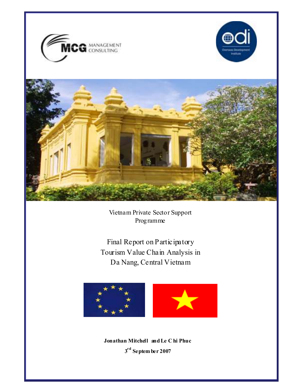





Vietnam Private Sector Support Programme

Final Report on Participatory Tourism Value Chain Analysis in Da Nang, Central Vietnam



Jonathan Mitchell and Le C hi Phuc  $3^{\rm rd}$  Septem ber 2007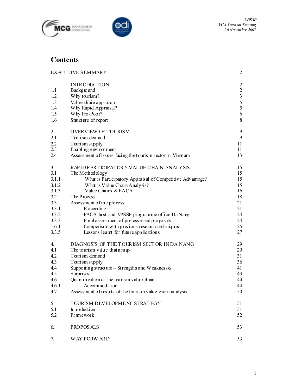



# **Contents**

|              | <b>EXECUTIVE SUMMARY</b>                                      | 2              |
|--------------|---------------------------------------------------------------|----------------|
| $\mathbf{1}$ | <b>INTRODUCTION</b>                                           | $\overline{2}$ |
| 1.1          | Background                                                    | $\overline{2}$ |
| 1.2          | Why tourism?                                                  | $\overline{3}$ |
| 1.3          | Value chain approach                                          | 5              |
| 1.4          | Why Rapid Appraisal?                                          | 5              |
| 1.5          | Why Pro-Poor?                                                 | 6              |
| 1.6          | Structure of report                                           | 8              |
| 2.           | <b>OVERVIEW OF TOURISM</b>                                    | 9              |
| 2.1          | Tourism demand                                                | 9              |
| 2.2          | Tourism supply                                                | 11             |
| 2.3          | Enabling environment                                          | 11             |
| 2.4          | Assessment of issues facing the tourism sector in Vietnam     | 13             |
| 3            | RAPIDP ARTICIPATORY VALUE CHAIN ANALYSIS                      | 15             |
| 3.1          | The Methodology                                               | 15             |
| 3.1.1        | What is Participatory Appraisal of Competitive Advantage?     | 15             |
| 3.1.2        | What is Value Chain Analysis?                                 | 15             |
| 3.1.3        | Value Chains & PACA                                           | 16             |
| 3.2          | The Process                                                   | 18             |
| 3.3          | Assessment of the process                                     | 21             |
| 3.3.1        | Proceedings                                                   | 21             |
| 3.3.2        | PACA host and VPSSP programme office Da Nang                  | 24             |
| 3.3.3        | Final assessment of pre-assessed proposals                    | 24             |
| 1.6.1        | Comparison with previous research techniques                  | 25             |
| 3.3.5        | Lessons learnt for future applications                        | 27             |
| 4.           | DIAGNOSIS OF THE TOURISM SECTOR INDA NANG                     | 29             |
| 4.1          | The tourism value chain map                                   | 29             |
| 4.2          | Tourism demand                                                | 31             |
| 4.3          | Tourism supply                                                | 36             |
| 4.4          | Supporting structure $-$ Strengths and W eakness $\mathbf{s}$ | 41             |
| 4.5          | Surprises                                                     | 43             |
| 4.6          | Quantification of the tourism value chain                     | 44             |
| 4.6.1        | Accommodation                                                 | 44             |
| 4.7          | Assessment of results of the tourism value chain analysis     | 50             |
| 5            | TOURISM DEVELOPMENT STRATEGY                                  | 51             |
| 5.1          | Introduction                                                  | 51             |
| 5.2          | Framework                                                     | 52             |
| 6.           | PROPOS ALS                                                    | 53             |
| 7.           | <b>WAY FORW ARD</b>                                           | 53             |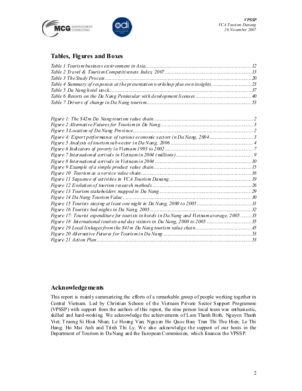



### Tables, Figures and Boxes

| Table 4 Summary of responses at the presentation works hop plus own insights |  |
|------------------------------------------------------------------------------|--|
|                                                                              |  |
|                                                                              |  |
|                                                                              |  |

| Figure 4: Export performance of various economic sectors in Da Nang, 20043                   |    |
|----------------------------------------------------------------------------------------------|----|
|                                                                                              |    |
|                                                                                              |    |
|                                                                                              |    |
|                                                                                              |    |
|                                                                                              |    |
|                                                                                              |    |
|                                                                                              |    |
|                                                                                              |    |
|                                                                                              |    |
|                                                                                              |    |
|                                                                                              |    |
| Figure 16 Tourists bed-nights in Da Nang, 2005                                               | 32 |
| Figure 17: Tourist expenditure for tourists in hotels in Da Nang and Vietnam average, 200533 |    |
| Figure 18 International tourists and day visitors in Da Nang, 2000 to 2005 35                |    |
|                                                                                              |    |
|                                                                                              |    |
|                                                                                              |    |

#### Acknowledgements

This report is mainly summarizing the efforts of a remarkable group of people working together in Central Vietnam. Led by Christian Schoen of the Vietnam Private Sector Support Programme (VPSSP) with support from the authors of this report, the nine person local team was enthusiastic, skilled and hard-working. We acknowledge the achievements of Lam Thanh Binh, Nguyen Thanh Viet; T ruong Si Hoai Nhan; Le Hoang Van; Nguyen Ho Quoc Bao; Tran Thi Thu Hien; Le Thi Hang; Ho Mai Anh and Trinh Thi Ly. We also acknowledge the support of our hosts in the Department of Tourism in Da Nang and the European Commission, which finances the VPSSP.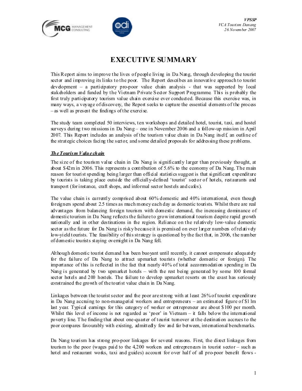



# EXECUTIVE SUMMARY

This Report aims to improve the lives of people living in Da Nang, through developing the tourist sector and improving its links to the poor. The Report describes an innovative approach to tourist development – a participatory pro-poor value chain analysis - that was supported by local stakeholders and funded by the Vietnam Private Sector Support Programme. This is probably the first truly participatory tourism value chain exercise ever conducted. Because this exercise was, in many ways, a voyage of discovery, the Report seeks to capture the essential elements of the process – as well as present the findings of the exercise.

The study team completed 50 interviews, ten workshops and detailed hotel, tourist, taxi, and hostel surveys during two missions in Da Nang – one in November 2006 and a follow-up mission in April 2007. This Report includes an analysis of the tourism value chain in Da Nang itself an outline of the strategic choices facing the sector, and some detailed proposals for addressing these problems.

#### The Tourism Value chain

The size of the tourism value chain in Da Nang is significantly larger than previously thought, at about \$42m in 2006. This represents a contribution of 5.6% to the economy of Da Nang. The main reason for tourist spending being larger than official statistics suggest is that significant expenditure by tourists is taking place outside the officially-defined 'tourist' sector of hotels, restaurants and transport (for instance, craft shops, and informal sector hostels and cafes).

The value chain is currently comprised about 60% domestic and 40% international, even though foreigners spend about 2.5 times as much money each day as domestic tourists. Whilst there are real advantages from balancing foreign tourism with domestic demand, the increasing dominance of domestic tourism in Da Nang reflects the failure to grow international tourism despite rapid growth nationally and in other destinations in the region. Reliance on the relatively low-value domestic sector as the future for Da Nang is risky because it is premised on ever larger numbers of relatively low-yield tourists. The feasibility of this strategy is questioned by the fact that, in 2006, the number of domestic tourists staying overnight in Da Nang fell.

Although domestic tourist demand has been buoyant until recently, it cannot compensate adequately for the failure of Da Nang to attract upmarket tourists (whether domestic or foreign). The importance of this is reflected in the fact that nearly 40% of total accommodation spending in Da Nang is generated by two upmarket hotels  $-$  with the rest being generated by some 100 formal sector hotels and 200 hostels. The failure to develop upmarket resorts on the coast has seriously constrained the growth of the tourist value chain in Da Nang.

Linkages between the tourist sector and the poor are strong with at least 26% of tourist expenditure in Da Nang accruing to non-managerial workers and entrepreneurs – an estimated figure of \$1 lm last year. Typical earnings for this category of worker or entrepreneur are about \$100 per month. Whilst this level of income is not regarded as 'poor' in Vietnam – it falls below the international poverty line. T he finding that about one-quarter of tourist turnover at the destination accrues to the poor compares favourably with existing, admittedly few and far between, international benchmarks.

Da Nang tourism has strong pro-poor linkages for several reasons. First, the direct linkages from tourism to the poor (wages paid to the 4,200 workers and entrepreneurs in tourist sector – such as hotel and restaurant works, taxi and guides) account for over half of all pro-poor benefit flows -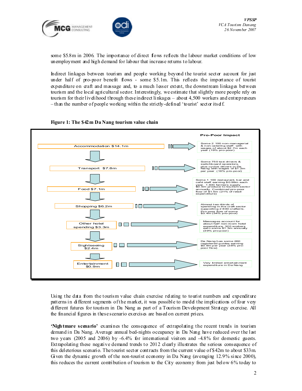



some \$5.8m in 2006. The importance of direct flows reflects the labour market conditions of low unemployment and high demand for labour that increase returns to labour.

Indirect linkages between tourism and people working beyond the tourist sector account for just under half of pro-poor benefit flows - some \$5.1m. This reflects the importance of tourist expenditure on craft and massage and, to a much lesser extent, the downstream linkages between tourism and the local agricultural sector. Interestingly, we estimate that slightly more people rely on tourism for their livelihood through these indirect linkages – about  $4,500$  workers and entrepreneurs  $-$ than the number of people working within the strictly-defined 'tourist' sector itself.





Using the data from the tourism value chain exercise relating to tourist numbers and expenditure patterns in different segments of the market, it was possible to model the implications of four very different futures for tourism in Da Nang as part of a Tourism Development Strategy exercise. All the financial figures in these scenario exercises are based on current prices.

'Nightmare scenario' examines the consequence of extrapolating the recent trends in tourism demand in Da Nang. Average annual bed-nights occupancy in Da Nang have reduced over the last two years (2005 and 2006) by -6.4% for international visitors and -4.8% for domestic guests. Extrapolating these negative demand trends to 2012 clearly illustrates the serious consequence of this deleterious scenario. The tourist sector contracts from the current value of \$42m to about \$33m. Given the dynamic growth of the non-tourist economy in Da Nang (averaging 12.9% since 2000), this reduces the current contribution of tourism to the City economy from just below 6% today to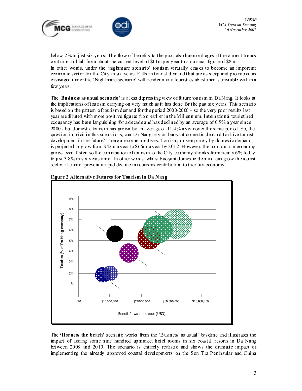



below 2% in just six years. The flow of benefits to the poor also haemorrhages if the current trends continue and fall from about the current level of \$1 lm per year to an annual figure of \$8m. In other words, under the 'nightmare scenario' tourism virtually ceases to become an important economic sector for the City in six years. Falls in tourist demand that are as steep and protracted as envisaged under the 'Nightmare scenario' will render many tourist establishments unviable within a few years.

The 'Business as usual scenario' is a less depressing view of future tourism in Da Nang. It looks at the implications of tourism carrying on very much as it has done for the past six years. This scenario is based on the pattern of tourism demand for the period  $2000-2006 -$  so the very poor results last year are diluted with more positive figures from earlier in the Millennium. International tourist bed occupancy has been languishing for a decade and has declined by an average of 0.5% a year since 2000 - but domestic tourism has grown by an average of 11.4% a year over the same period. So, the question implicit in this scenario is, can Da Nang rely on buoyant domestic demand to drive tourist development in the future? There are some positives. Tourism, driven purely by domestic demand, is projected to grow from \$42m a year to \$66m a year by 2012. However, the non-tourism economy grows even faster, so the contribution of tourism to the City economy shrinks from nearly 6% today to just 3.8% in six years time. In other words, whilst buoyant domestic demand can grow the tourist sector, it cannot prevent a rapid decline in tourisms contribution to the City economy.



Figure 2 Alternative Futures for Tourism in Da Nang

The 'Harness the beach' scenario works from the 'Business as usual' baseline and illustrates the impact of adding some nine hundred upmarket hotel rooms in six coastal resorts in Da Nang between 2008 and 2010. The scenario is entirely realistic and shows the dramatic impact of implementing the already approved coastal developments on the Son Tra Peninsular and China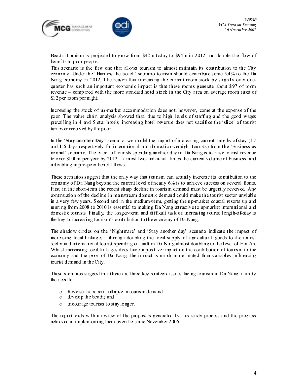



Beach. Tourism is projected to grow from \$42m today to \$94m in 2012 and double the flow of benefits to poor people.

This scenario is the first one that allows tourism to almost maintain its contribution to the City economy. Under the ' Harness the beach' scenario tourism should contribute some 5.4% to the Da Nang economy in 2012. The reason that increasing the current room stock by slightly over onequarter has such an important economic impact is that these rooms generate about \$97 of room revenue – compared with the more standard hotel stock in the City area on average room rates of \$12 per room per night.

Increasing the stock of up-market accommodation does not, however, come at the expense of the poor. The value chain analysis showed that, due to high levels of staffing and the good wages prevailing in 4 and 5 star hotels, increasing hotel revenue does not sacrifice the 'slice' of tourist turnover received by the poor.

In the **Stay another Day'** scenario, we model the impact of increasing current lengths of stay (1.7) and 1. 6 days respectively for international and domestic overnight tourists) from the 'Business as normal' scenario. The effect of tourists spending another day in Da Nang is to raise tourist revenue to over \$100m per year by  $2012 -$  almost two-and-a-half times the current volume of business, and a doubling in pro-poor benefit flows.

These scenarios suggest that the only way that tourism can actually increase its contribution to the economy of Da Nang beyond the current level of nearly 6% is to achieve success on several fronts. First, in the short-term the recent sharp decline in tourism demand must be urgently reversed. Any continuation of the decline in mainstream domestic demand could make the tourist sector unviable in a very few years. Second and in the medium-term, getting the up-market coastal resorts up and running from 2008 to 2010 is essential to making Da Nang attractive to upmarket international and domestic tourists. Finally, the longer-term and difficult task of increasing tourist length-of-stay is the key to increasing tourism's contribution to the economy of Da Nang.

The shadow circles on the 'Nightmare' and 'Stay another day' scenario indicate the impact of increasing local linkages – through doubling the local supply of agricultural goods to the tourist sector and international tourist spending on craft in Da Nang almost doubling to the level of Hoi An. Whilst increasing local linkages does have a positive impact on the contribution of tourism to the economy and the poor of Da Nang, the impact is much more muted than variables influencing tourist demand in the City.

These scenarios suggest that there are three key strategic issues facing tourism in Da Nang, namely the need to:

- o Reverse the recent collapse in tourism demand;
- o develop the beach; and
- o encourage tourists to stay longer.

The report ends with a review of the proposals generated by this study process and the progress achieved in implementing them over the since November 2006.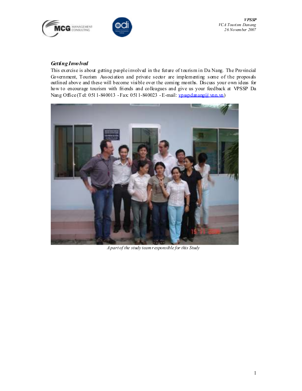



VPSSP VCA Tourism Danang 26 November 2007

### Getting Involved

This exercise is about getting people involved in the future of tourism in Da Nang. The Provincial Government, Tourism Association and private sector are implementing some of the proposals outlined above and these will become visible over the coming months. Discuss your own ideas for how to encourage tourism with friends and colleagues and give us your feedback at VPSSP Da Nang Office (T el: 0511-840013 - Fax: 0511-840023 - E-mail: vpsspdanang@ vnn.vn)



A part of the study team r esponsible for this Study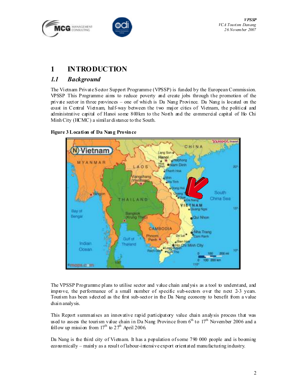



# 1 INTRODUCTION

## 1.1 Background

The Vietnam Private Sector Support Programme (VPSSP) is funded by the European Commission. VPSSP This Programme aims to reduce poverty and create jobs through the promotion of the private sector in three provinces – one of which is Da Nang Province. Da Nang is located on the coast in Central Vietnam, half-way between the two major cities of Vietnam, the political and administrative capital of Hanoi some 800km to the North and the commercial capital of Ho Chi Minh City (HCMC) a similar distance to the South.

### Figure 3 Location of Da Nang Province



The VPSSP Programme plans to utilise sector and value chain analysis as a tool to understand, and improve, the performance of a small number of specific sub-sectors over the next 2-3 years. Tourism has been selected as the first sub-sector in the Da Nang economy to benefit from a value chain analysis.

This Report summarises an innovative rapid participatory value chain analysis process that was used to assess the tourism value chain in Da Nang Province from  $6<sup>th</sup>$  to  $17<sup>th</sup>$  November 2006 and a follow up mission from  $17<sup>th</sup>$  to  $27<sup>th</sup>$  April 2006.

Da Nang is the third city of Vietnam. It has a population of some 790 000 people and is booming economically – mainly as a result of labour-intensive export orientated manufacturing industry.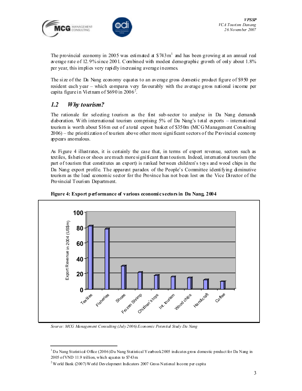



The provincial economy in 2005 was estimated at  $$743m<sup>1</sup>$  and has been growing at an annual real average rate of 12. 9% since 2001. Combined with modest demographic growth of only about 1.8% per year, this implies very rapidly increasing average incomes.

The size of the Da Nang economy equates to an average gross domestic product figure of \$950 per resident each year – which compares very favourably with the average gross national income per capita figure in Vietnam of \$690 in  $2006^2$ .

### 1.2 Why tourism?

ı

The rationale for selecting tourism as the first sub-sector to analyse in Da Nang demands elaboration. With international tourism comprising  $5%$  of Da Nang's total exports – international tourism is worth about \$16m out of a total export basket of \$350m (MCG Management Consulting 2006) – the prioritization of tourism above other more significant sectors of the Provincial economy appears anomalous.

As Figure 4 illustrates, it is certainly the case that, in terms of export revenue, sectors such as textiles, fisheries or shoes are much more significant than tourism. Indeed, international tourism (the part of tourism that constitutes an export) is ranked between children's toys and wood chips in the Da Nang export profile. The apparent paradox of the People's Committee identifying diminutive tourism as the lead economic sector for the Province has not been lost on the Vice Director of the Provincial Tourism Department.





Source: MCG Management Consulting (July 2006) Economic Potential Study Da Nang

<sup>&</sup>lt;sup>1</sup>Da Nang Statistical Office (2006) Da Nang Statistical Yearbook 2005 indicates gross domestic product for Da Nang in  $2005$  of VND 11.9 trillion, which equates to \$743m.

 $2$ World Bank (2007) World Development Indicators 2007 Gross National Income per capita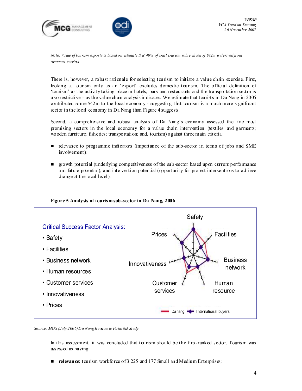



Note: Value of tourism exports is based on estimate that 40% of total tourism value chain of \$42m is derived from overseas tourists

There is, however, a robust rationale for selecting tourism to initiate a value chain exercise. First, looking at tourism only as an 'export' excludes domestic tourism. The official definition of 'tourism' as the activity taking place in hotels, bars and restaurants and the transportation sector is also restrictive – as the value chain analysis indicates. We estimate that tourists in Da Nang in  $2006$ contributed some \$42m to the local economy - suggesting that tourism is a much more significant sector in the local economy in Da Nang than Figure 4 suggests.

Second, a comprehensive and robust analysis of Da Nang's economy assessed the five most promising sectors in the local economy for a value chain intervention (textiles and garments; wooden furniture; fisheries; transportation; and, tourism) against three main criteria:

- relevance to programme indicators (importance of the sub-sector in terms of jobs and SME involvement);
- growth potential (underlying competitiveness of the sub-sector based upon current performance and future potential); and intervention potential (opportunity for project interventions to achieve change at the local level).



#### Figure 5 Analysis of tourism sub-sector in Da Nang, 2006

Source: MCG (July 2006) Da Nang Economic Potential Study

In this assessment, it was concluded that tourism should be the first-ranked sector. Tourism was assessed as having:

relevance: tourism workforce of 3 225 and 177 Small and Medium Enterprises;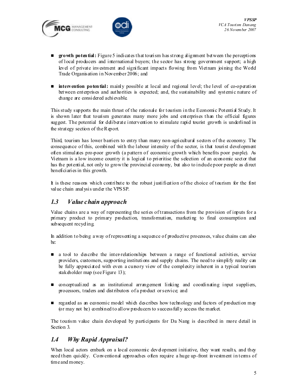



- **growth potential:** Figure 5 indicates that tourism has strong alignment between the perceptions of local producers and international buyers; the sector has strong government support; a high level of private investment and significant impacts flowing from Vietnam joining the World Trade Organisation in November 2006; and
- **number is not intervention potential:** mainly possible at local and regional level; the level of co-operation between enterprises and authorities is expected; and, the sustainability and systemic nature of change are considered achievable.

This study supports the main thrust of the rationale for tourism in the Economic Potential Study. It is shown later that tourism generates many more jobs and enterprises than the official figures suggest. The potential for deliberate intervention to stimulate rapid tourist growth is underlined in the strategy section of the Report.

Third, tourism has lower barriers to entry than many non-agricultural sectors of the economy. The consequence of this, combined with the labour intensity of the sector, is that tourist development often stimulates pro-poor growth (a pattern of economic growth which benefits poor people). As Vietnam is a low income country it is logical to prioritise the selection of an economic sector that has the potential, not only to grow the provincial economy, but also to indude poor people as direct beneficiaries in this growth.

It is these reasons which contribute to the robust justification of the choice of tourism for the first value chain analysis under the VPSSP.

### 1.3 Value chain approach

Value chains are a way of representing the series of transactions from the provision of inputs for a primary product to primary production, transformation, marketing to final consumption and subsequent recycling.

In addition to being a way of representing a sequence of productive processes, value chains can also be:

- a tool to describe the inter-relationships between a range of functional activities, service providers, customers, supporting institutions and supply chains. The need to simplify reality can be fully appreciated with even a cursory view of the complexity inherent in a typical tourism stakeholder map (see Figure 13);
- **n** conceptualized as an institutional arrangement linking and coordinating input suppliers, processors, traders and distributors of a product or service; and
- regarded as an economic model which describes how technology and factors of production may (or may not be) combined to allow producers to successfully access the market.

The tourism value chain developed by participants for Da Nang is described in more detail in Section 3.

## 1.4 Why Rapid Appraisal?

When local actors embark on a local economic development initiative, they want results, and they need them quickly. Conventional approaches often require a huge up-front investment in terms of time and money.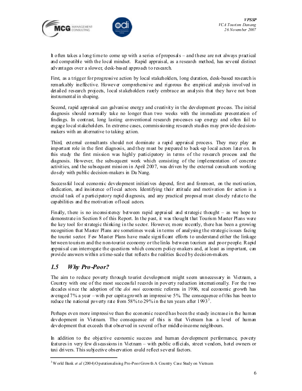



It often takes a long time to come up with a series of proposals – and these are not always practical and compatible with the local mindset. Rapid appraisal, as a research method, has several distinct advantages over a slower, desk-based approach to research.

First, as a trigger for progressive action by local stakeholders, long duration, desk-based research is remarkably ineffective. However comprehensive and rigorous the empirical analysis involved in detailed research projects, local stakeholders rarely embrace an analysis that they have not been inst runnent all in shaping.

Second, rapid appraisal can galvanise energy and creativity in the development process. The initial diagnosis should normally take no longer than two weeks with the immediate presentation of findings. In contrast, long lasting conventional research processes sap energy and often fail to engage local stakeholders. In extreme cases, commissioning research studies may provide decisionmakers with an alternative to taking action.

Third, external consultants should not dominate a rapid appraisal process. They may play an important role in the first diagnosis, and they must be prepared to back-up local actors later on. In this study the first mission was highly participatory in terms of the research process and the diagnosis. However, the subsequent work which consisting of the implementation of concrete activities, and the subsequent mission in April 2007, was driven by the external consultants working closely with public decision-makers in Da Nang.

Successful local economic development initiatives depend, first and foremost, on the motivation, dedication, and insistence of local actors. Identifying their attitude and motivation for action is a crucial task of a participatory rapid diagnosis, and any practical proposal must closely relate to the capabilities and the motivation of local actors.

Finally, there is no inconsistency between rapid appraisal and strategic thought – as we hope to demonstrate in Section 8 of this Report. In the past, it was thought that Tourism Master Plans were the key tool for strategic thinking in the sector. However, more recently, there has been a growing recognition that Master Plans are sometimes weak in terms of analysing the strategic issues facing the tourist sector. Few Master Plans have made significant efforts to understand either the linkage between tourism and the non-tourist economy or the links between tourism and poor people. Rapid appraisal can interrogate the questions which concern policy-makers and, at least as important, can provide answers within a time-scale that reflects the realities faced by decision-makers.

## 1.5 Why Pro-Poor?

ı

The aim to reduce poverty through tourist development might seem unnecessary in Vietnam, a Country with one of the most success ful records in poverty reduction internationally. For the two decades since the adoption of the *doi moi* economic reforms in 1986, real economic growth has averaged 7% a year – with per capita growth an impressive 5%. The consequence of this has been to reduce the national poverty rate from 58% to 29% in the ten years after  $1993^3$ .

Perhaps even more impressive than the economic record has been the steady increase in the human development in Vietnam. The consequence of this is that Vietnam has a level of human development that exceeds that observed in several of her middle-income neighbours.

In addition to the objective economic success and human development performance, poverty features in very few discussions in Vietnam – with public officials, street vendors, hotel owners or taxi drivers. This subjective observation could reflect several factors.

<sup>&</sup>lt;sup>3</sup> W orld Bank *et al* (2004) Operationalising Pro-Poor Growth A Country Case Study on Vietnam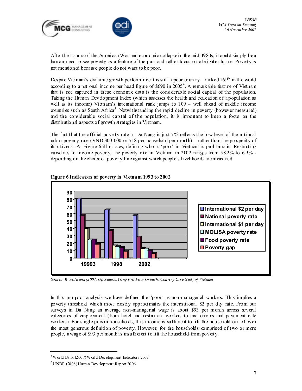



After the trauma of the American War and economic collapse in the mid-1980s, it could simply be a human need to see poverty as a feature of the past and rather focus on a brighter future. Poverty is not mentioned because people do not want to be poor.

Despite Vietnam's dynamic growth performance it is still a poor country – ranked  $169<sup>th</sup>$  in the world according to a national income per head figure of \$690 in 2005<sup>4</sup>. A remarkable feature of Vietnam that is not captured in these economic data is the considerable social capital of the population. Taking the Human Development Index (which assesses the health and education of a population as well as its income) Vietnam's international rank jumps to  $109 -$  well ahead of middle income countries such as South Africa<sup>5</sup>. Notwithstanding the rapid decline in poverty (however measured) and the considerable social capital of the population, it is important to keep a focus on the distributional aspects of growth strategies in Vietnam.

The fact that the official poverty rate in Da Nang is just 7% reflects the low level of the national urban poverty rate (VND 300 000 or \$18 per household per month) – rather than the prosperity of its citizens. As Figure 6 illustrates, defining who is 'poor' in Vietnam is problematic. Restricting ourselves to income poverty, the poverty rate in Vietnam in  $2002$  ranges from  $58.2\%$  to  $6.9\%$  depending on the choice of poverty line against which people's livelihoods are measured.



#### Figure 6 Indicators of poverty in Vietnam 1993 to 2002

Source: World Bank (2004) Operationalising Pro-Poor Growth: Country Case Study of Vietnam

In this pro-poor analysis we have defined the 'poor' as non-managerial workers. This implies a poverty threshold which most closely approximates the international \$2 per day rate. From our surveys in Da Nang an average non-managerial wage is about \$93 per month across several categories of employment (from hotel and restaurant workers to taxi drivers and pavement café workers). For single person households, this income is sufficient to lift the household out of even the most generous definition of poverty. However, for the households comprised of two or more people, a wage of \$93 per month is insufficient to lift the household from poverty.

ı

<sup>4</sup> World Bank (2007) World Development Indicators 2007

 $5$ UNDP (2006) Human Development Report 2006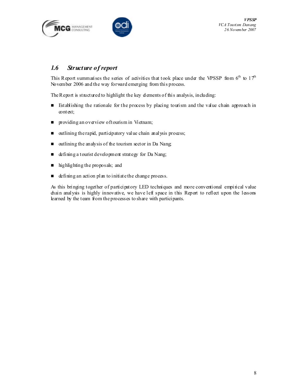



### 1.6 Structure of report

This Report summarises the series of activities that took place under the VPSSP from  $6<sup>th</sup>$  to  $17<sup>th</sup>$ November 2006 and the way forward emerging from this process.

The Report is structured to highlight the key dements of this analysis, including:

- Establishing the rationale for the process by placing tourism and the value chain approach in context;
- **P** providing an overview of tourism in Vietnam;
- $\Box$  outlining the rapid, participatory value chain analysis process;
- $\Box$  outlining the analysis of the tourism sector in Da Nang
- defining a tourist development strategy for Da Nang;
- highlighting the proposals; and
- defining an action plan to initiate the change process.

As this bringing together of participatory LED techniques and more conventional empirical value chain analysis is highly innovative, we have left space in this Report to reflect upon the lessons learned by the team from the processes to share with participants.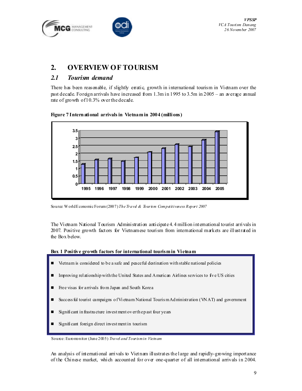



# 2. OVERVIEW OF TOURISM

## 2.1 Tourism demand

There has been reasonable, if slightly erratic, growth in international tourism in Vietnam over the past decade. Foreign arrivals have increased from 1.3m in 1995 to 3.5m in 2005 – an average annual rate of growth of 10.3% over the decade.





Source: World Economic Forum (2007) The Travd & Tourism Compatitiveness Report 2007

The Vietnam National Tourism Administration anticipate 4. 4 million international tourist arrivals in 2007. Positive growth factors for Vietnamese tourism from international markets are illustrated in the Box below.

#### Box 1 Positive growth factors for international tourism in Vietnam

- **U** Vietnam is considered to be a safe and peace ful destination with stable national policies
- $\blacksquare$  Improving rel ationship with the United States and American Airlines services to five US cities
- Free visas for arrivals fro m Japan and South Korea
- Success ful tourist campaigns of Vietnam National Touris m Administration (WAT) and government
- Signifi cant in frastru cture invest ment ov er th e p ast four years
- Signifi cant foreign direct invest ment in tourism

Source: Euromonitor (June 2005) Travel and Tourismin Vietnam

An analysis of international arrivals to Vietnam illustrates the large and rapidly-growing importance of the Chinese market, which accounted for over one-quarter of all international arrivals in 2004.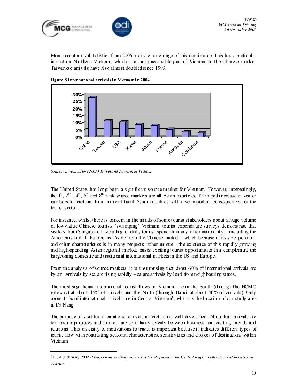

More recent arrival statistics from 2006 indicate no change of this dominance. This has a particular impact on Northern Vietnam, which is a more accessible part of Vietnam to the Chinese market. Taiwanese arrivals have also almost doubled since 1999.



Figure 8 I nternational a rri vals i n Vi etna m i n 2004

Source: Euromonitor (2005) Travel and Tourism in Vietnam

ı

The United States has long been a significant source market for Vietnam. However, interestingly, the  $1^{st}$ ,  $2^{nd}$ ,  $4^{th}$ ,  $5^{th}$  and  $8^{th}$  rank source markets are all Asian countries. The rapid increase in visitor numbers to Vietnam from more affluent Asian countries will have important consequences for the tourist sector.

For instance, whilst there is concern in the minds of some tourist stakeholders about a huge volume of low-value Chinese tourists 'swamping' Vietnam, tourist expenditure surveys demonstrate that visitors from Singapore have a higher daily tourist spend than any other nationality – including the Americans and all Europeans. Aside from the Chinese market – which because of its size, potential and other characteristics is in many respects rather unique - the existence of this rapidly growing and high-spending Asian regional market, raises exciting tourist opportunities that complement the burgeoning domestic and traditional international markets in the US and Europe.

From the analysis of source markets, it is unsurprising that about 60% of international arrivals are by air. Arrivals by sea are rising rapidly – as are arrivals by land from neighbouring states.

The most significant international tourist flows in Vietnam are in the South (through the HCMC gateway) at about 45% of arrivals and the North (through Hanoi at about 40% of arrivals). Only about 15% of international arrivals are in Central Vietnam<sup>6</sup>, which is the location of our study area at Da Nang.

The purpose of visit for international arrivals at Vietnam is well-diversified. About half arrivals are for leisure purposes and the rest are split fairly evenly between business and visiting friends and relations. This diversity of motivations to travel is important because it indicates different types of tourist flow with contrasting seasonal characteristics, sensitivities and choices of destinations within Vietnam.

<sup>&</sup>lt;sup>6</sup> JICA (February 2002) Comprehensive Study on Tourist Development in the Central Region of the Socialist Republic of Vietnam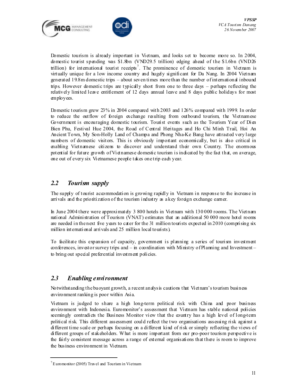



Domestic tourism is already important in Vietnam, and looks set to become more so. In 2004, domestic tourist spending was \$1.8bn (VND29. 5 trillion) edging ahead of the \$1.6bn (VND26 trillion) for international tourist receipts<sup>7</sup>. The prominence of domestic tourism in Vietnam is virtually unique for a low income country and hugely significant for Da Nang. In 2004 Vietnam generated 19.8m domestic trips – about seven times more than the number of international inbound trips. However domestic trips are typically short from one to three days – perhaps reflecting the relatively limited leave entitlement of 12 days annual leave and 8 days public holidays for most employees.

Domestic tourism grew 23% in 2004 compared with 2003 and 126% compared with 1999. In order to reduce the outflow of foreign exchange resulting from outbound tourism, the Vietnamese Government is encouraging domestic tourism. Tourist events such as the Tourism Year of Dien Bien Phu, Festival Hue 2004, the Road of Central Heritages and Ho Chi Minh Trail, Hoi An Ancient Town, My Son-Holly Land of Champa and Phong Nha-Ke Bang have attracted very large numbers of domestic visitors. This is obviously important economically, but is also critical in enabling Vietnamese citizens to discover and understand their own Country. The enormous potential for future growth of Vietnamese domestic tourism is indicated by the fact that, on average, one out of every six Vietnamese people takes one trip each year.

### 2.2 Tourism supply

The supply of tourist accommodation is growing rapidly in Vietnam in response to the increase in arrivals and the prioritization of the tourism industry as a key foreign exchange earner.

In June 2004 there were approximately 3 800 hotels in Vietnam with 130 000 rooms. The Vietnam national Administration of Tourism (VNAT) estimates that an additional 50 000 more hotel rooms are needed in the next five years to cater for the 31 million tourists expected in 2010 (comprising six million international arrivals and 25 million local tourists).

To facilitate this expansion of capacity, government is planning a series of tourism investment conferences, investor survey trips and – in coordination with Ministry of Planning and Investment – to bring out special preferential investment policies.

### 2.3 Enabling environment

Notwithstanding the buoyant growth, a recent analysis cautions that Vietnam's tourism business environment ranking is poor within Asia.

Vietnam is judged to share a high long-term political risk with China and poor business environment with Indonesia. Euromonitor's assessment that Vietnam has stable national policies seemingly contradicts the Business Monitor view that the country has a high level of long-term political risk. This different assessment could reflect the two organisations assessing risk against a different time scale or perhaps focusing on a different kind of risk or simply reflecting the views of different groups of stakeholders. What is more important from our pro-poor tourism perspective is the fairly consistent message across a range of external organisations that there is room to improve the business environment in Vietnam.

ı

<sup>7</sup> Euromonitor (2005) Travel and Tourism in Vietnam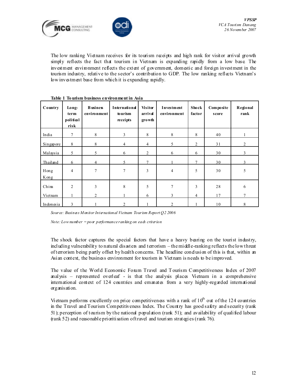



The low ranking Vietnam receives for its tourism receipts and high rank for visitor arrival growth simply reflects the fact that tourism in Vietnam is expanding rapidly from a low base. The investment environment reflects the extent of government, domestic and foreign investment in the tourism industry, relative to the sector's contribution to GDP. The low ranking reflects Vietnam's low investment base from which it is expanding rapidly.

| Country      | Long-<br>term<br>political<br>risk | <b>B</b> usiness<br>environment | International<br>to urism<br>receipts | <b>Visitor</b><br>arrival<br>growth | <b>Investment</b><br>environment | <b>Shock</b><br>factor | Composite<br>score | Regional<br>rank |
|--------------|------------------------------------|---------------------------------|---------------------------------------|-------------------------------------|----------------------------------|------------------------|--------------------|------------------|
| India        | 7                                  | 8                               | 3                                     | 8                                   | 8                                | 8                      | 40                 |                  |
| Singapore    | 8                                  | 8                               | $\overline{4}$                        | $\overline{4}$                      | 5                                | $\overline{c}$         | 31                 | $\overline{2}$   |
| Malaysia     | 5                                  | 5                               | 6                                     | $\overline{2}$                      | 6                                | 6                      | 30                 | 3                |
| Thailand     | 6                                  | Δ                               |                                       | $\overline{ }$                      |                                  | $\mathcal{I}$          | 30                 |                  |
| Hong<br>Kong | 4                                  | $\overline{7}$                  | $\overline{7}$                        | 3                                   | 4                                | 5                      | 30                 | 5                |
| Chim         | $\overline{2}$                     | 3                               | 8                                     | 5                                   | 7                                | 3                      | 28                 | 6                |
| Vietnam      |                                    | $\overline{2}$                  |                                       | 6                                   | 3                                | 4                      | 17                 |                  |
| Indonesia    | 3                                  |                                 | $\mathfrak{D}$                        |                                     | 2                                |                        | 10                 | 8                |

#### Table 1 To urism business environment in Asia

Source: Business Monitor International Vietnam Tourism Report Q2 2006

Note: Low number =  $po\alpha$  performance ranking on each criterion

The shock factor captures the special factors that have a heavy bearing on the tourist industry, including vulnerability to natural disasters and terrorism – the middle-ranking reflects the low threat of terrorism being partly offset by health concerns. The headline conclusion of this is that, within an Asian context, the business environment for tourism in Vietnam is needs to be improved.

The value of the World Economic Forum Travel and T ourism Competitiveness Index of 2007 analysis – represented overleaf - is that the analysis places Vietnam in a comprehensive international context of 124 countries and emanates from a very highly-regarded international organisation.

Vietnam performs excellently on price competitiveness with a rank of  $10<sup>th</sup>$  out of the 124 countries in the Travel and Tourism Competitiveness Index. The Country has good safety and security (rank 51); perception of tourism by the national population (rank 51); and availability of qualified labour (rank 52) and reasonable prioritisation of travel and tourism strategies (rank 76).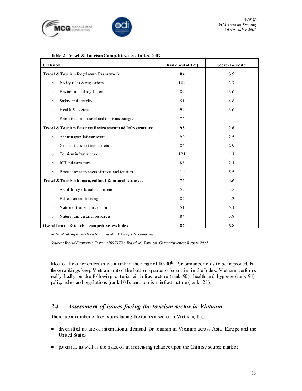



#### Table 2 Tra vel & Tourism Competiti veness Index, 2007

| Criterion |                                                          | Rank(out125) | $Score(1-7scale)$ |
|-----------|----------------------------------------------------------|--------------|-------------------|
|           | Travel & Tourism Regulatory Framework                    | 84           | 3.9               |
| $\circ$   | Policy rules & regulations                               | 104          | 3.7               |
| $\circ$   | Environmental regulation                                 | 84           | 3.6               |
| $\circ$   | Safety and security                                      | 51           | 4.8               |
| $\circ$   | Health & hygiene                                         | 94           | 3.6               |
| $\circ$   | Prioritisation of travel and tourisms trategies          | 76           |                   |
|           | Travel & Tourism Business Environment and Infrastructure | 95           | 2.8               |
| $\circ$   | Air transport infrastructure                             | 90           | 2.5               |
| $\circ$   | Ground transport infrastructure                          | 85           | 2.9               |
| $\circ$   | To unism in frastructure                                 | 121          | 1.1               |
| $\circ$   | ICT infrastructure                                       | 88           | 2.1               |
| $\circ$   | Price competitiveness of travel and tourism              | 10           | 5.5               |
|           | Travel & Tourism human, cultural & natural resources     | 76           | 4.6               |
| $\circ$   | A vailability of qualified labour                        | 52           | 4.5               |
| $\circ$   | E ducation and training                                  | 82           | 4.3               |
| $\circ$   | National tourism perception                              | 51           | 5.1               |
| $\circ$   | Natural and cultural resources                           | 84           | 3.8               |
|           | Overall travel & tourism competitiveness index           | 87           | 3.8               |

Note: Ranking by each criteria out of a total of 124 countries

Source: World Economic Forum (2007) The Travd l& Tounism Competitiveness Report 2007

Most of the other criteria have a rank in the range of 80-90<sup>th</sup>. Performance needs to be improved, but these rankings keep Vietnam out of the bottom quarter of countries in the Index. Vietnam performs really badly on the following criteria: air infrastructure (rank 90); health and hygiene (rank 94); policy rules and regulations (rank 104); and, tourism infrastructure (rank 121).

### 2.4 Assessment of issues facing the tourism sector in Vietnam

There are a number of key issues facing the tourism sector in Vietnam, the:

- diversified nature of international demand for tourism in Vietnam across Asia, Europe and the United States;
- $\Box$  potential, as well as the risks, of an increasing reliance upon the Chinese source market;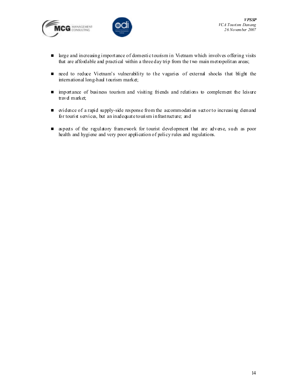



- **If** large and increasing importance of domestic tourism in Vietnam which involves offering visits that are affordable and practical within a three day trip from the two main metropolitan areas;
- need to reduce Vietnam's vulnerability to the vagaries of external shocks that blight the international long-haul tourism market;
- importance of business tourism and visiting friends and relations to complement the leisure travel market;
- $\blacksquare$  evidence of a rapid supply-side response from the accommodation sector to increasing demand for tourist services, but an inadequate tourism infrastructure; and
- aspects of the regulatory framework for tourist development that are adverse, such as poor health and hygiene and very poor application of policy rules and regulations.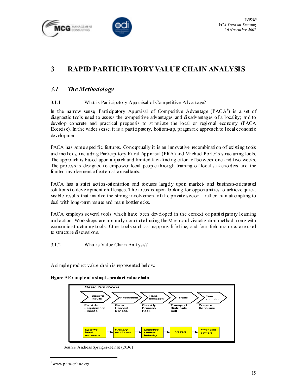



# 3 RAPID PARTICIPATORY VALUE CHAIN ANALYSIS

## 3.1 The Methodology

#### 3.1.1 What is Participatory Appraisal of Competitive Advantage?

In the narrow sense, Participatory Appraisal of Competitive Advantage (PACA ${}^{8}$ ) is a set of diagnostic tools used to assess the competitive advantages and disadvantages of a locality; and to develop concrete and practical proposals to stimulate the local or regional economy (PACA Exercise). In the wider sense, it is a participatory, bottom-up, pragmatic approach to local economic development.

PACA has some specific features. Conceptually it is an innovative recombination of existing tools and methods, including Participatory Rural Appraisal (PRA) and Michael Porter's structuring tools. The approach is based upon a quick and limited fact-finding effort of between one and two weeks. The process is designed to empower local people through training of local stakeholders and the limited involvement of external consultants.

PACA has a strict action-orientation and focuses largely upon market- and business-orientated solutions to development challenges. The focus is upon looking for opportunities to achieve quick, visible results that involve the strong involvement of the private sector – rather than attempting to deal with long-term issues and main bottlenecks.

PACA employs several tools which have been developed in the context of participatory learning and action. Workshops are normally conducted using the M esocard visualization method along with economic structuring tools. Other tools such as mapping, life-line, and four-field matrices are used to structure discussions.

3.1.2 What is Value Chain Analysis?

A simple product value chain is represented below.

|  |  | Figure 9 Example of a simple product value chain |  |
|--|--|--------------------------------------------------|--|
|--|--|--------------------------------------------------|--|



Source: Andreas Springer-Heinze (2006)

ı

<sup>8</sup> www.paca-online.org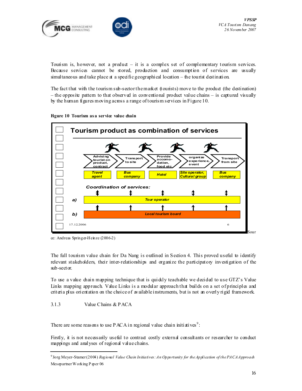



Tourism is, however, not a product  $-$  it is a complex set of complementary tourism services. Because services cannot be stored, production and consumption of services are usually simultaneous and take place at a specific geographical location – the tourist destination.

The fact that with the tourism sub-sector the market (tourists) move to the product (the destination) – the opposite pattern to that observed in conventional product value chains – is captured visually by the human figures moving across a range of tourism services in Figure 10.





ce: Andreas Springer-Heinze (2006-2)

The full tourism value chain for Da Nang is outlined in Section 4. This proved useful to identify relevant stakeholders, their inter-relationships and organize the participatory investigation of the sub-sector.

To use a value chain mapping technique that is quickly teachable we decided to use  $GTZ$ 's Value Links mapping approach. Value Links is a modular approach that builds on a set of principles and criteria plus orientation on the choice of available instruments, but is not an overly rigid framework.

#### 3.1.3 Value Chains & PACA

ı

There are some reasons to use PACA in regional value chain initiatives<sup>9</sup>:

Firstly, it is not necessarily useful to contract costly external consultants or researcher to conduct mappings and analyses of regional value chains.

<sup>&</sup>lt;sup>9</sup> Jorg Meyer-Stamer (2004) Regional Value Chain Initiatives: An Opportunity for the Application of the PACA Approach Mesopartner Working P aper 06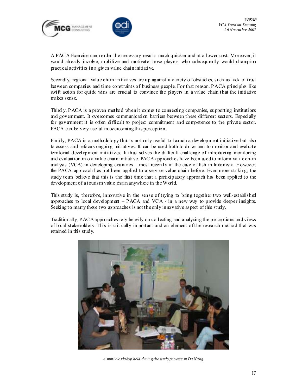



A PACA Exercise can render the necessary results much quicker and at a lower cost. Moreover, it would already involve, mobilize and motivate those players who subsequently would champion practical activities in a given value chain initiative.

Secondly, regional value chain initiatives are up against a variety of obstacles, such as lack of trust between companies and time constraints of business people. For that reason, PACA principles like swift action for quick wins are crucial to convince the players in a value chain that the initiative makes sense.

Thirdly, PACA is a proven method when it comes to connecting companies, supporting institutions and government. It overcomes communication barriers between these different sectors. Especially for government it is often difficult to project commitment and competence to the private sector. PACA can be very useful in overcoming this perception.

Finally, PACA is a methodology that is not only useful to launch a development initiative but also to assess and refocus ongoing initiatives. It can be used both to drive and to monitor and evaluate territorial development initiatives. It thus solves the difficult challenge of introducing monitoring and evaluation into a value chain initiative. PACA approaches have been used to inform value chain analysis (VCA) in developing countries – most recently in the case of fish in Indonesia. However, the PACA approach has not been applied to a service value chain before. Even more striking, the study team believe that this is the first time that a participatory approach has been applied to the development of a tourism value chain anywhere in the World.

This study is, therefore, innovative in the sense of trying to bring together two well-established approaches to local development – PACA and VCA - in a new way to provide deeper insights. Seeking to marry these two approaches is not the only innovative aspect of this study.

Traditionally, PACA approaches rely heavily on collecting and analysing the perceptions and views of local stakeholders. This is critically important and an element of the research method that was retained in this study.



A mini-workshop held during the study process in Da Nang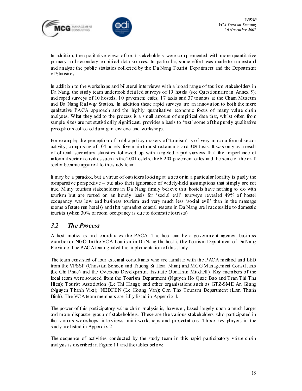



In addition, the qualitative views of local stakeholders were complemented with more quantitative primary and secondary empirical data sources. In particular, some effort was made to understand and analyse the public statistics collected by the Da Nang T ourist Department and the Department of Statistics.

In addition to the workshops and bilateral interviews with a broad range of tourism stakeholders in Da Nang, the study team undertook detailed surveys of 19 hotels (see Questionnaire in Annex 9); and rapid surveys of 10 hostels; 10 pavement cafes; 17 taxis and 37 tourists at the Cham Museum and Da Nang Railway Station. In addition these rapid surveys are an innovation to both the more qualitative PACA approach and the highly quantitative economic focus of many value chain analyses. What they add to the process is a small amount of empirical data that, whilst often from sample sizes are not statistically significant, provides a basis to 'test' some of the purely qualitative perceptions collected during interviews and workshops.

For example, the perception of public policy makers of 'tourism' is of very much a formal sector activity, comprising of 104 hotels, five main tourist restaurants and 309 taxis. It was only as a result of official secondary statistics followed up with targeted rapid surveys that the importance of informal sector activities such as the 200 hostels, the 6 200 pavement cafes and the scale of the craft sector became apparent to the study team.

It may be a paradox, but a virtue of outsiders looking at a sector in a particular locality is partly the comparative perspective – but also their ignorance of widely-held assumptions that simply are not true. M any tourism stakeholders in Da Nang firmly believe that hostels have nothing to do with tourism but are rented on an hourly basis for 'social evil' (surveys revealed 49% of hostel occupancy was low end business tourism and very much less 'social evil' than in the massage rooms of state run hotels) and that upmarket coastal resorts in Da Nang are inaccessible to domestic tourists (when 30% of room occupancy is due to domestic tourists).

### 3.2 The Process

A host motivates and coordinates the PACA. The host can be a government agency, business chamber or NGO. In the VCA Tourism in Da Nang the host is the Tourism Department of Da Nang Province. The PACA team guided the implementation of this study.

The team consisted of four external consultants who are familiar with the PACA method and LED from the VPSSP (Christian Schoen and Truong Si Hoai Nhan) and MCG Management Consultants (Le Chi Phuc) and the Overseas Development Institute (Jonathan Mitchell). Key members of the local team were sourced from the Tourism Department (Nguyen Ho Quoc Bao and Tran Thi Thu Hien); Tourist Association (Le Thi Hang); and other organisations such as GTZ-SME An Giang (Nguyen T hanh Viet); NEDCEN (Le Hoang Van); Can Tho Tourism Department (Lam Thanh Binh). The VCA team members are fully listed in Appendix 1.

The power of this participatory value chain analysis is, however, based largely upon a much larger and more disparate group of stakeholders. These are the various stakeholders who participated in the various workshops, interviews, mini-workshops and presentations. These key players in the study are listed in Appendix 2.

The sequence of activities conducted by the study team in this rapid participatory value chain analysis is described in Figure 11 and the tables below: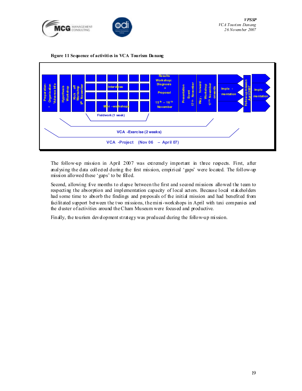





The follow-up mission in April 2007 was extremely important in three respects. First, after analysing the data collected during the first mission, empirical 'gaps' were located. The follow-up mission allowed these 'gaps' to be filled.

Second, allowing five months to elapse between the first and second missions allowed the team to respecting the absorption and implementation capacity of local actors. Because local stakeholders had some time to absorb the findings and proposals of the initial mission and had benefited from facilitated support between the two missions, the mini-workshops in April with taxi companies and the duster of activities around the Cham Museum were focused and productive.

Finally, the tourism development strategy was produced during the follow-up mission.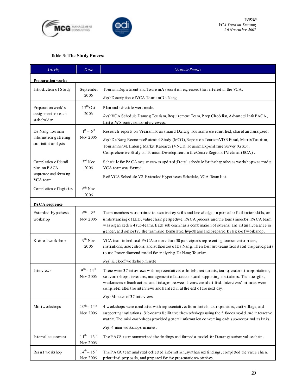



### Table 3: The Study Process

| A ctivity                                                                | Date                               | Outputs/Results                                                                                                                                                                                                                                                                                                                                                                                                |  |  |
|--------------------------------------------------------------------------|------------------------------------|----------------------------------------------------------------------------------------------------------------------------------------------------------------------------------------------------------------------------------------------------------------------------------------------------------------------------------------------------------------------------------------------------------------|--|--|
| <b>Preparation works</b>                                                 |                                    |                                                                                                                                                                                                                                                                                                                                                                                                                |  |  |
| Introduction of Study                                                    | September<br>2006                  | Tourism Department and Tourism Association expressed their interest in the VCA.<br>Ref: Description of VCA TourismDa Nang.                                                                                                                                                                                                                                                                                     |  |  |
| Preparation work's<br>assignment for each<br>stakeholder                 | $17th$ Oct<br>2006                 | Plan and schedule were made.<br>Ref: VCA Schedule Danang Tourism, Requirement Team, Prep Checklist, Advanced Info PACA,<br>List of WS participants interviewees.                                                                                                                                                                                                                                               |  |  |
| Da Nang Tourism<br>information gathering<br>and initial analysis         | $1^{st} - 6^{th}$<br>Nov 2006      | Research reports on VietnamTourismand Danang Tourismwere identified, shared and analyzed.<br>Ref: Da Nang E conomicP otential Study (MCG), Report on Tourism VDR Final, Matrix Tourism,<br>Tourism SP M, Halong Market Research (VNCI), Tourism Expenditure Survey (GSO),<br>Comprehensive Study on TourismDevelopment in the Centre Region of Vietnam (JICA)                                                  |  |  |
| Completion of detail<br>plan on PACA<br>sequence and forming<br>VCA team | $3^{\text{rd}}$ N ov<br>2006       | Schedule for PACA sequence was updated; Detail schedule for the hypotheses workshop was made;<br>VCA teamwas formed.<br>Ref. VCA Schedule V2, Extended Hypotheses Schedule, VCA Team list.                                                                                                                                                                                                                     |  |  |
| Completion of logistics                                                  | 6 <sup>th</sup> Nov<br>2006        |                                                                                                                                                                                                                                                                                                                                                                                                                |  |  |
| PACA sequence                                                            |                                    |                                                                                                                                                                                                                                                                                                                                                                                                                |  |  |
| Extended Hypothesis<br>workshop                                          | $6^{th} - 8^{th}$<br>Nov 2006      | Team members were trained to acquire key skills and knowledge, in particular facilitations kills, an<br>understanding of LED, value chain perspective, PACA process, and the tourisms ector. PACA team<br>was organized in 4 sub-teams. Each sub-team has a combination of external and intensal, balance in<br>gender, and seniority. The team also formulated hypothesis and prepared for kick-off workshop. |  |  |
| Kick-offworkshop                                                         | 9 <sup>th</sup> Nov<br>2006        | VCA teamintroduced PACA to more than 30 participants representing tourismenterprises,<br>institutions, associations, and authorities of Da Nang. Then four subteams facilitated the participants<br>to use Porter diamond model for analyzing Da Nang Tourism.                                                                                                                                                 |  |  |
|                                                                          |                                    | Ref: Kick-off workshop minute                                                                                                                                                                                                                                                                                                                                                                                  |  |  |
| Interviews                                                               | $9^{th} - 14^{th}$<br>Nov 2006     | There were 37 interviews with representatives of hotels, restaurants, tour operators, transportations,<br>souvenir shops, investors, management of attractions, and supporting institutions. The strengths,<br>weaknesses of each actors, and linkages between themwere identified. Interviews' minutes were<br>completed after the interviews and handed in at the end of the next day.                       |  |  |
|                                                                          |                                    | <i>Ref:</i> Minutes of 37 interviews.                                                                                                                                                                                                                                                                                                                                                                          |  |  |
| $10^{th} - 14^{th}$<br>Miniworkshops<br>Nov 2006                         |                                    | 4 workshops were conducted with representatives from hotels, tour operators, craft village, and<br>supporting institutions. Sub-teams facilitated the workshops using the 5 forces model and interactive<br>matrix. The mini-workshops provided general information concerning each sub-sector and itslinks.                                                                                                   |  |  |
|                                                                          |                                    | $Ref: 4 min$ workshops minutes.                                                                                                                                                                                                                                                                                                                                                                                |  |  |
| Intemal assessment                                                       | $11^{th} - 13^{th}$<br>$N$ ov 2006 | The PACA team summarized the findings and formed a model for Danangtourism value chain.                                                                                                                                                                                                                                                                                                                        |  |  |
| Result workshop                                                          | $14^{th} - 15^{th}$<br>Nov 2006    | The PACA team analyzed collected in firmation, synthesized findings, completed the value chain,<br>prioritized proposals, and prepared for the presentation workshop.                                                                                                                                                                                                                                          |  |  |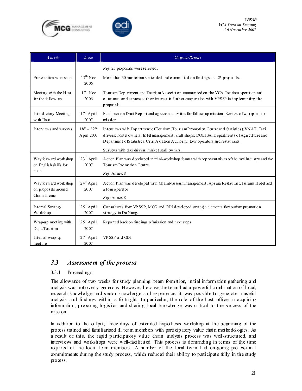



| A ctivity                                                            | Date                              | Outputs/Results                                                                                                                                                                                                                                                                                                                       |  |  |
|----------------------------------------------------------------------|-----------------------------------|---------------------------------------------------------------------------------------------------------------------------------------------------------------------------------------------------------------------------------------------------------------------------------------------------------------------------------------|--|--|
|                                                                      |                                   | Ref: 25 proposals were selected.                                                                                                                                                                                                                                                                                                      |  |  |
| Presentation workshop                                                | $17^{\text{th}}$ N ov<br>2006     | More than 30 participants attended and commented on findings and 25 proposals.                                                                                                                                                                                                                                                        |  |  |
| Meeting with the Host<br>for the follow-up                           | $17^{\text{th}}$ N ov<br>2006     | Tourism Department and Tourism Association commented on the VCA Tourism operation and<br>outcomes, and expressed their interest in further cooperation with VPSSP in implementing the<br>proposals.                                                                                                                                   |  |  |
| Introductory Meeting<br>with Host                                    | $17th$ April<br>2007              | Feedback on Draft Report and agree on activities for follow-up mission. Review of workplan for<br>mission                                                                                                                                                                                                                             |  |  |
| Interviews and surveys                                               | $18^{th} - 22^{nd}$<br>April 2007 | Interviews with Department of Tourism (Tourism Promotion Centre and Statistics), VNAT; Taxi<br>drivers; hostel owners; hotel management; craft shops; DOLISA; Departments of Agriculture and<br>Department ofStatistics, Civil Aviation Authority; tour operators and restaurants.<br>Surveys with taxi drivers, market stall owners, |  |  |
| Way forward workshop<br>on English skills for<br>taxis               | $23rd$ April<br>2007              | Action Plan was developed in mini-workshop format with representatives of the taxi industry and the<br>Tourism Promption Centre<br>$Ref$ : Annex 8                                                                                                                                                                                    |  |  |
| Way forward workshop<br>on proposals around<br>ChamTheme             | $24th$ April<br>2007              | Action Plan was developed with ChamMuseum management, Apsara Restaurant, Furama Hotel and<br>a tour operator<br>Ref: Annex 8                                                                                                                                                                                                          |  |  |
| Intemal Strategy<br>Workshop                                         | $25th$ April<br>2007              | Consultants from VP SSP, MCG and ODI developed strategic elements for tourism promotion<br>strategy in Da Nang.                                                                                                                                                                                                                       |  |  |
| Wrap-up meeting with<br>Dept. Tourism                                | $25th$ April<br>2007              | Reported back on findings of mission and next steps                                                                                                                                                                                                                                                                                   |  |  |
| $27th$ April<br>VPSSP and ODI<br>Intemal wrap-up<br>2007<br>meetin g |                                   |                                                                                                                                                                                                                                                                                                                                       |  |  |

### 3.3 Assessment of the process

#### 3.3.1 Proceedings

The allowance of two weeks for study planning, team formation, initial information gathering and analysis was not overly-generous. However, because the team had a powerful combination of local, research knowledge and sector knowledge and experience, it was possible to generate a useful analysis and findings within a fortnight. In particular, the role of the host office in acquiring information, preparing logistics and sharing local knowledge was critical to the success of the mission.

In addition to the output, three days of extended hypothesis workshop at the beginning of the process trained and familiarised all team members with participatory value chain methodologies. As a result of this, the rapid participatory value chain analysis process was well-structured, and interviews and workshops were well-facilitated. This process is demanding in terms of the time required of the local team members. A number of the local team had on-going professional commitments during the study process, which reduced their ability to participate fully in the study process.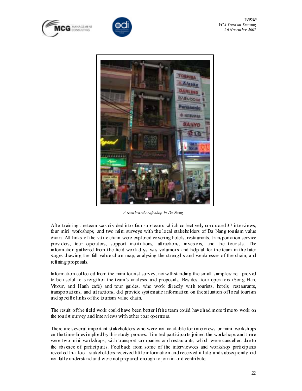





A textile and craft shop in Da Nang

After training the team was divided into four sub-teams which collectively conducted 37 interviews, four mini workshops, and two mini surveys with the local stakeholders of Da Nang tourism value chain. All links of the value chain were explored covering hotels, restaurants, transportation service providers, tour operators, support institutions, attractions, investors, and the tourists. The information gathered from the field work days was volumous and helpful for the team in the later stages drawing the full value chain map, analysing the strengths and weaknesses of the chain, and refining proposals.

Information collected from the mini tourist survey, notwithstanding the small sample size, proved to be useful to strengthen the team's analysis and proposals. Besides, tour operators (Song Han, Vitour, and Hanh café) and tour guides, who work directly with tourists, hotels, restaurants, transportations, and attractions, did provide systematic information on the situation of local tourism and specific links of the tourism value chain.

The result of the field work could have been better if the team could have had more time to work on the tourist survey and interviews with other tour operators.

There are several important stakeholders who were not available for interviews or mini workshops on the time-lines implied by this study process. Limited participants joined the workshops and there were two mini workshops, with transport companies and restaurants, which were cancelled due to the absence of participants. Feedback from some of the interviewees and workshop participants revealed that local stakeholders received little information and received it late, and subsequently did not fully understand and were not prepared enough to join in and contribute.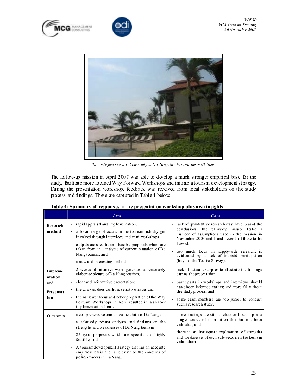





The only five star hotel currently in Da Nang, the Furama Resort & Spar

The follow-up mission in April 2007 was able to develop a much stronger empirical base for the study, facilitate more focused Way Forward Workshops and initiate a tourism development strategy. During the presentation workshop, feedback was received from local stakeholders on the study process and findings. These are captured in Table 4 below.

|                          | Pro                                                                                                                                                                | Cons                                                                                                                                                                                                                           |
|--------------------------|--------------------------------------------------------------------------------------------------------------------------------------------------------------------|--------------------------------------------------------------------------------------------------------------------------------------------------------------------------------------------------------------------------------|
| Research<br>method       | - rapid appraisal and implementation;<br>- a broad range of actors in the tourism industry get<br>involved through interviews and mini-workshops;                  | lack of quantitative research may have biased the<br>$\overline{\phantom{a}}$<br>conclusions. The follow-up mission tested a<br>number of assumptions used in the mission in<br>November 2006 and found several of these to be |
|                          | outputs are specificand feasible proposals which are<br>$\frac{1}{2}$<br>taken from an analysis of current situation of Da<br>Nang tourism; and                    | flawed.<br>too much focus on supply-side research, is<br>evidenced by a lack of tourists' participation                                                                                                                        |
|                          | - a new and interesting method                                                                                                                                     | (beyond the Tourist Survey).                                                                                                                                                                                                   |
| Impleme<br>ntation       | - 2 weeks of intensive work generated a reasonably<br>elaborate picture of Da Nang tourism;                                                                        | lack of actual examples to illustrate the findings<br>during the presentation;                                                                                                                                                 |
| a nd<br>Presentat<br>ion | - clear and informative presentation;<br>- the analysis does confront sensitive issues and                                                                         | participants in workshops and interviews should<br>have been informed earlier, and more fully about<br>the study process; and                                                                                                  |
|                          | - the narrower focus and better preparation of the Way<br>Forward Workshops in April resulted in a shaper<br>implementation focus.                                 | some team members are too junior to conduct<br>such a research study.                                                                                                                                                          |
| <b>Outcomes</b>          | - a comprehensive tourism value chain of Da Nang;                                                                                                                  | some findings are still unclear or based upon a                                                                                                                                                                                |
|                          | - a relatively robust analysis and findings on the<br>strengths and weaknesses of Da Nang tourism                                                                  | single source of information that has not been<br>validated; and                                                                                                                                                               |
|                          | - 25 good proposals which are specific and highly<br>feasible; and                                                                                                 | - there is an inadequate explanation of strengths<br>and weaknesses of each sub-sectors in the tourism<br>valuechain                                                                                                           |
|                          | A tourism development strategy that has an adequate<br>$\overline{\phantom{a}}$<br>empirical basis and is relevant to the concerns of<br>policy-makers in Da Nang. |                                                                                                                                                                                                                                |

#### Table 4: Summary of responses at the presentation workshop plus own insights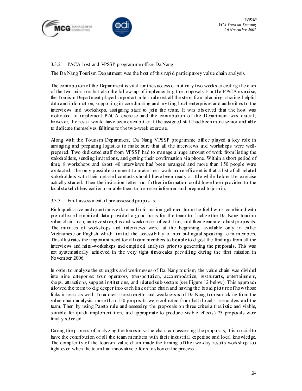



#### 3.3.2 PACA host and VPSSP programme office Da Nang

The Da Nang Tourism Department was the host of this rapid participatory value chain analysis.

The contribution of the Department is vital for the success of not only two weeks executing the each of the two missions but also the follow-up of implementing the proposals. For the PACA exercise, the Tourism Department played important role in almost all the steps from planning, sharing helpful data and information, supporting in coordinating and inviting local enterprises and authorities to the interviews and workshops, assigning staff to join the team. It was observed that the host was motivated to implement PACA exercise and the contribution of the Department was crucial; however, the result would have been even better if the assigned staff had been more senior and able to dedicate themselves fulltime to the two-week exercise.

Along with the Tourism Department, Da Nang VPSSP programme office played a key role in arranging and preparing logistics to make sure that all the interviews and workshops were wellprepared. Two dedicated staff from VPSSP had to manage a huge amount of work from listing the stakeholders, sending invitations, and getting their confirmation via phone. Within a short period of time, 8 workshops and about 40 interviews had been arranged and more than 150 people were contacted. The only possible comment to make their work more efficient is that a list of all related stakeholders with their detailed contacts should have been ready a little while before the exercise actually started. Then the invitation letter and further information could have been provided to the local stakeholders earlier to enable them to be better informed and prepared to join in.

#### 3.3.3 Final assessment of pre-assessed proposals

Rich qualitative and quantitative data and information gathered from the field work combined with pre-collected empirical data provided a good basis for the team to finalize the Da Nang tourism value chain map, analyze strengths and weaknesses of each link, and then generate robust proposals. The minutes of workshops and interviews were, at the beginning, available only in either Vietnamese or English which limited the accessibility of non bi-lingual speaking team members. This illustrates the important need for all team members to be able to digest the findings from all the interviews and mini-workshops and empirical analyses prior to generating the proposals. This was not systematically achieved in the very tight timescales prevailing during the first mission in November 2006.

In order to analyze the strengths and weaknesses of Da Nang tourism, the value chain was divided into nine categories: tour operators, transportation, accommodation, restaurants, entertainment, shops, attractions, support institutions, and related sub-sectors (see Figure 12 below). This approach allowed the team to dig deeper into each link of the chain and having the broad picture of how those links interact as well. To address the strengths and weaknesses of Da Nang tourism taking from the value chain analysis, more than 150 proposals were collected from both local stakeholders and the team. Then by using Pareto rule and assessing the proposals on three criteria (realistic and viable, suitable for quick implementation, and appropriate to produce visible effects)  $25$  proposals were finally selected.

During the process of analyzing the tourism value chain and assessing the proposals, it is crucial to have the contribution of all the team members with their industrial expertise and local knowledge. The complexity of the tourism value chain made the timing of the two-day results workshop too tight even when the team had innovative efforts to shorten the process.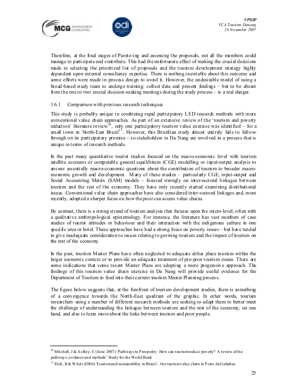

ı



Therefore, at the final stages of Pareto-ing and assessing the proposals, not all the members could manage to participate and contribute. This had the unfortunate effect of making the crucial decisions made in selecting the prioritized list of proposals and the tourism development strategy highly dependent upon external consultancy expertise. There is nothing inevitable about this outcome and some efforts were made in process design to avoid it. However, the undesirable model of using a broad-based study team to undergo training; collect data and present findings – but to be absent from the one or two crucial decision-making meetings during the study process – is a real danger.

#### 1.6.1 Comparison with previous research techniques

This study is probably unique in combining rapid participatory LED research methods with more conventional value chain approaches. As part of an extensive review of the 'tourism and poverty reduction' literature review<sup>10</sup>, only one participatory tourism value exercise was identified – for a small town in North-East Brazil<sup>11</sup>. However, this Brazilian study almost entirely fails to followthrough on its participatory promise – so stakeholders in Da Nang are involved in a process that is unique in terms of research methods.

In the past many quantitative tourist studies focused on the macro-economic level with tourism satellite accounts or computable general equilibrium (CGE) modelling or input-output analysis to answer essentially macro-economic questions about the contribution of tourism to broader macroeconomic growth and development. M any of these studies – particularly CGE, input-output and Social Accounting Matrix (SAM) models - focused strongly on inter-sectoral linkages between tourism and the rest of the economy. They have only recently started examining distributional issues. Conventional value chain approaches have also considered inter-sectoral linkages and, more recently, adopted a sharper focus on how the poor can access value chains.

By contrast, there is a strong strand of tourism analysis that focuses upon the micro-level, often with a qualitative anthropological epistemology. For instance, the literature has vast numbers of case studies of tourist attitudes or behaviour and their interaction with the indigenous culture in one specific area or hotel. These approaches have had a strong focus on poverty issues – but have tended to give inadequate consideration to issues relating to growing tourism and the impact of tourism on the rest of the economy.

In the past, tourism Master Plans have often neglected to adequate either place tourism within the larger economic context or to provide an adequate treatment of pro-poor tourism issues. There are some indications that some recent Master Plans are adopting a more progressive approach. The findings of this tourism value chain exercise in Da Nang will provide useful evidence for the Department of Tourism to feed into their current tourism Master Planning process.

The figure below suggests that, at the forefront of tourism development studies, there is something of a convergence towards the North-East quadrant of the graphic. In other words, tourism researchers using a number of different research methods are seeking to adapt them to better meet the challenge of understanding the linkages between tourism and the rest of the economy, on one hand, and also to learn more about the links between tourism and poor people.

<sup>&</sup>lt;sup>10</sup> Mitchell, J & Ashley, C (June 2007) 'Pathways to P rosperity: How can tourism reduce poverty? A review of the pathways, evidence and methods' Study for the World Bank

<sup>&</sup>lt;sup>11</sup> Slob, B & Wilde  $(2006)$  Tourism and sustainability in Brazil – the tourism value chain in P orto de Galinhas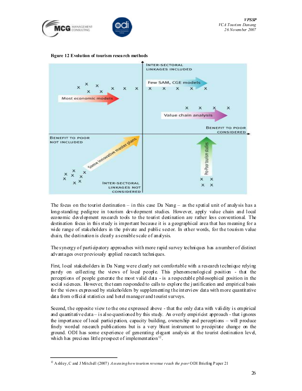



Figure 12 Evolution of tourism resea rch methods



The focus on the tourist destination – in this case Da Nang – as the spatial unit of analysis has a long-standing pedigree in tourism development studies. However, apply value chain and local economic development research tools to the tourist destination are rather less conventional. The destination focus in this study is important because it is a geographical area that has meaning for a wide range of stakeholders in the private and public sector. In other words, for the tourism value chain, the destination is clearly a sensible scale of analysis.

The synergy of participatory approaches with more rapid survey techniques has a number of distinct advantages over previously applied research techniques.

First, local stakeholders in Da Nang were clearly not comfortable with a research technique relying purely on collecting the views of local people. This phenomenological position - that the perceptions of people generate the most valid data - is a respectable philosophical position in the social sciences. However, the team responded to calls to explore the justification and empirical basis for the views expressed by stakeholders by supplementing the interview data with more quantitative data from official statistics and hotel manager and tourist surveys.

Second, the opposite view to the one expressed above - that the only data with validity is empirical and quantitative data – is also questioned by this study. An overly empiricist approach - that ignores the importance of local participation, capacity building, ownership and perceptions – will produce finely worded research publications but is a very blunt instrument to precipitate change on the ground. ODI has some experience of generating elegant analysis at the tourist destination level, which has precious little prospect of implementation<sup>12</sup>.

ı

<sup>&</sup>lt;sup>12</sup> Ashley, C and J Mitchell (2007) Assessing how tourism revenue reach the poor ODI Briefing P aper 21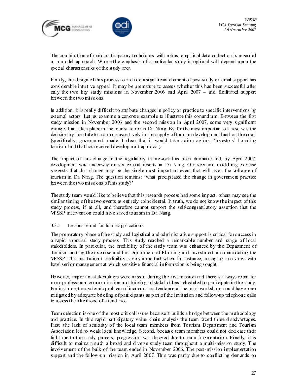



The combination of rapid participatory techniques with robust empirical data collection is regarded as a model approach. Where the emphasis of a particular study is optimal will depend upon the special characteristics of the study area.

Finally, the design of this process to include a significant element of post-study external support has considerable intuitive appeal. It may be premature to assess whether this has been successful after only the two key study missions in November 2006 and April 2007 – and facilitated support between the two missions.

In addition, it is really difficult to attribute changes in policy or practice to specific interventions by external actors. Let us examine a concrete example to illustrate this conundrum. Between the first study mission in November 2006 and the second mission in April 2007, some very significant changes had taken place in the tourist sector in Da Nang. By far the most important of these was the decision by the state to act more assertively in the supply of tourism development land on the coast (specifically, government made it dear that it would take action against 'investors' hoarding tourism land that has received development approval).

The impact of this change in the regulatory framework has been dramatic and, by April 2007, development was underway on six coastal resorts in Da Nang. Our scenario modelling exercise suggests that this change may be the single most important event that will avert the collapse of tourism in Da Nang. The question remains: ' what precipitated the change in government practice between the two missions of this study?'

The study team would like to believe that this research process had some impact; others may see the similar timing of the two events as entirely coincidental. In truth, we do not know the impact of this study process, if at all, and therefore cannot support the self-congratulatory assertion that the VPSSP intervention could have saved tourism in Da Nang.

#### 3.3.5 Lessons learnt for future applications

The preparatory phase of the study and logistical and administrative support is critical for success in a rapid appraisal study process. This study reached a remarkable number and range of local stakeholders. In particular, the credibility of the study team was enhanced by the Department of Tourism hosting the exercise and the Department of Planning and Investment accommodating the VPSSP. This institutional credibility is very important when, for instance, arranging interviews with hotel senior management at which sensitive financial information is being sought.

However, important stakeholders were missed during the first mission and there is always room for more professional communication and briefing of stakeholders scheduled to participate in the study. For instance, the systemic problem of inadequate attendance at the mini-workshops could have been mitigated by adequate briefing of participants as part of the invitation and follow-up telephone calls to assess the likelihood of attendance.

Team selection is one of the most critical issues because it builds a bridge between the methodology and practice. In this rapid participatory value chain analysis the team faced three disadvantages. First, the lack of seniority of the local team members from Tourism Department and Tourism Association led to weak local knowledge. Second, because team members could not dedicate their full-time to the study process, progression was delayed due to team fragmentation. Finally, it is difficult to maintain such a broad and diverse study team throughout a multi-mission study. The involvement of the bulk of the team ended in November 2006. The post-mission implementation support and the follow-up mission in April 2007. This was partly due to conflicting demands on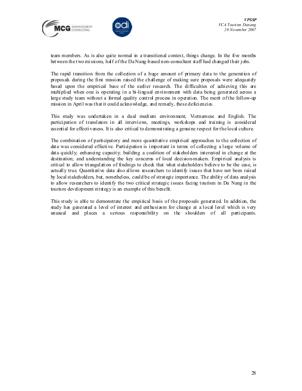



team members. As is also quite normal in a transitional context, things change. In the five months between the two missions, half of the Da Nang-based non-consultant staff had changed their jobs.

The rapid transition from the collection of a huge amount of primary data to the generation of proposals during the first mission raised the challenge of making sure proposals were adequately based upon the empirical base of the earlier research. The difficulties of achieving this are multiplied when one is operating in a bi-lingual environment with data being generated across a large study team without a formal quality control process in operation. The merit of the follow-up mission in April was that it could acknowledge, and remedy, these deficiencies.

This study was undertaken in a dual medium environment, Vietnamese and English. The participation of translators in all interviews, meetings, workshops and training is considered essential for effectiveness. It is also critical to demonstrating a genuine respect for the local culture.

The combination of participatory and more quantitative empirical approaches to the collection of data was considered effective. Participation is important in terms of collecting a large volume of data quickly; enhancing capacity; building a coalition of stakeholders interested in change at the destination; and understanding the key concerns of local decision-makers. Empirical analysis is critical to allow triangulation of findings to check that what stakeholders believe to be the case, is actually true. Quantitative data also allows researchers to identify issues that have not been raised by local stakeholders, but, nonetheless, could be of strategic importance. The ability of data analysis to allow researchers to identify the two critical strategic issues facing tourism in Da Nang in the tourism development strategy is an example of this benefit.

This study is able to demonstrate the empirical basis of the proposals generated. In addition, the study has generated a level of interest and enthusiasm for change at a local level which is very unusual and places a serious responsibility on the shoulders of all participants.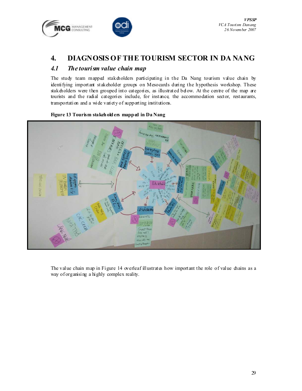



# 4. DIAGNOSIS OF THE TOURISM SECTOR IN DA NANG

### 4.1 The tourism value chain map

The study team mapped stakeholders participating in the Da Nang tourism value chain by identifying important stakeholder groups on Mesocards during the hypothesis workshop. These stakeholders were then grouped into categories, as illustrated below. At the centre of the map are tourists and the radial categories include, for instance, the accommodation sector, restaurants, transportation and a wide variety of supporting institutions.

#### Figure 13 Tourism stakeholders mapped in Da Nang



The value chain map in Figure 14 overleaf illustrates how important the role of value chains as a way of organising a highly complex reality.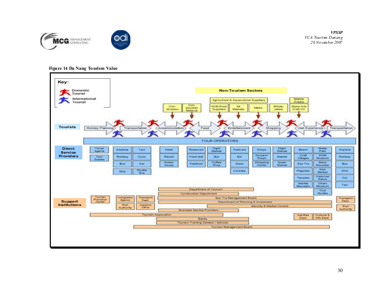

VPSSP VCA Tourism Danang 26 November 2007

#### Figure 14 Da Nang To urism Value

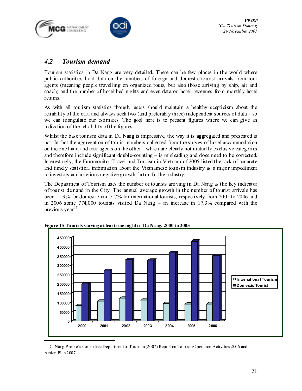



### 4.2 Tourism demand

Tourism statistics in Da Nang are very detailed. There can be few places in the world where public authorities hold data on the numbers of foreign and domestic tourist arrivals from tour agents (meaning people travelling on organized tours, but also those arriving by ship, air and coach) and the number of hotel bed nights and even data on hotel revenues from monthly hotel returns.

As with all tourism statistics though, users should maintain a healthy scepticism about the reliability of the data and always seek two (and preferably three) independent sources of data – so we can triangulate our estimates. The goal here is to present figures where we can give an indication of the reliability of the figures.

Whilst the base tourism data in Da Nang is impressive, the way it is aggregated and presented is not. In fact the aggregation of tourist numbers collected from the survey of hotel accommodation on the one hand and tour agents on the other – which are clearly not mutually exclusive categories and therefore include significant double-counting  $-$  is misleading and does need to be corrected. Interestingly, the Euromonitor Travel and Tourism in Vietnam of 2005 listed the lack of accurate and timely statistical information about the Vietnamese tourism industry as a major impediment to investors and a serious negative growth factor for the industry.

The Department of Tourism uses the number of tourists arriving in Da Nang as the key indicator of tourist demand in the City. The annual average growth in the number of tourist arrivals has been 11.9% for domestic and 5.7% for international tourists, respectively from 2001 to 2006 and in 2006 some 774,000 tourists visited Da Nang – an increase in 17.3% compared with the previous year<sup>13</sup>.



Figure 15 Tourists staying at least one night in Da Nang, 2000 to 2005

<sup>&</sup>lt;sup>13</sup> Da Nang People's Committee Department of Tourism (2007) Report on Tourism Operation Activities 2006 and Action Plan 2007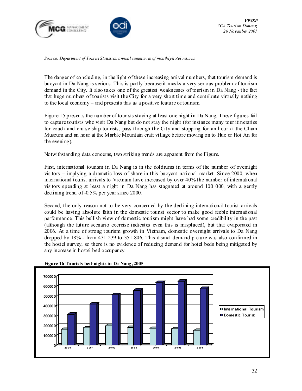



Source: Department of Tourist Statistics, annual summaries of monthly hotel returns

The danger of concluding, in the light of these increasing arrival numbers, that tourism demand is buoyant in Da Nang is serious. This is partly because it masks a very serious problem of tourism demand in the City. It also takes one of the greatest weaknesses of tourism in Da Nang - the fact that huge numbers of tourists visit the City for a very short time and contribute virtually nothing to the local economy – and presents this as a positive feature of tourism.

Figure 15 presents the number of tourists staying at least one night in Da Nang. These figures fail to capture tourists who visit Da Nang but do not stay the night (for instance many tour itineraries for coach and cruise ship tourists, pass through the City and stopping for an hour at the Cham Museum and an hour at the Marble Mountain craft village before moving on to Hue or Hoi An for the evening).

Notwithstanding data concerns, two striking trends are apparent from the Figure.

First, international tourism in Da Nang is in the doldrums in terms of the number of overnight visitors – implying a dramatic loss of share in this buoyant national market. Since 2000, when international tourist arrivals to Vietnam have increased by over 40% the number of international visitors spending at least a night in Da Nang has stagnated at around 100 000, with a gently declining trend of -0.5% per year since 2000.

Second, the only reason not to be very concerned by the declining international tourist arrivals could be having absolute faith in the domestic tourist sector to make good feeble international performance. This bullish view of domestic tourism might have had some credibility in the past (although the future scenario exercise indicates even this is misplaced), but that evaporated in 2006. At a time of strong tourism growth in Vietnam, domestic overnight arrivals to Da Nang dropped by 18% - from 431 239 to 351 806. This dismal demand picture was also confirmed in the hostel survey, so there is no evidence of reducing demand for hotel beds being mitigated by any increase in hostel bed occupancy.



#### Figure 16 Tourists bed-nights in Da Nang, 2005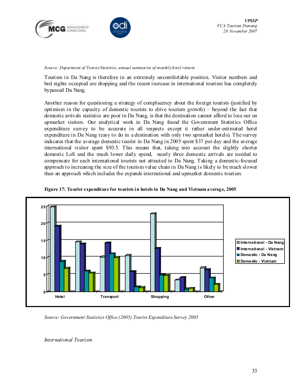



Source: Department of Tourist Statistics, annual summaries of monthly hotel returns

Tourism in Da Nang is therefore in an extremely uncomfortable position. Visitor numbers and bed nights occupied are dropping and the recent increase in international tourism has completely bypassed Da Nang.

Another reason for questioning a strategy of complacency about the foreign tourists (justified by optimism in the capacity of domestic tourists to drive tourism growth) – beyond the fact that domestic arrivals statistics are poor in Da Nang, is that the destination cannot afford to lose out on upmarket visitors. Our analytical work in Da Nang found the Government Statistics Office expenditure survey to be accurate in all respects except it rather under-estimated hotel expenditure in Da Nang (easy to do in a destination with only two upmarket hotels). The survey indicates that the average domestic tourist in Da Nang in 2005 spent \$37 per day and the average international visitor spent \$93.5. This means that, taking into account the slightly shorter domestic LoS and the much lower daily spend, nearly three domestic arrivals are needed to compensate for each international tourists not attracted to Da Nang. Taking a domestic-focused approach to increasing the size of the tourism value chain in Da Nang is likely to be much slower than an approach which includes the expands international and upmarket domestic tourism.





Source: Government Statistics Office (2005) Tourist Expenditure Survey 2005

International Tourism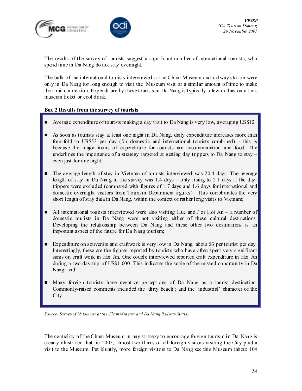



The results of the survey of tourists suggest a significant number of international tourists, who spend time in Da Nang do not stay overnight.

The bulk of the international tourists interviewed at the Cham Museum and railway station were only in Da Nang for long enough to visit the Museum visit or a similar amount of time to make their rail connection. Expenditure by these tourists in Da Nang is typically a few dollars on a taxi, museum ticket or cool drink.

#### Box 2 Results from the survey of tourists

- Average expenditure of tourists making a day visit to Da Nang is very low, averaging US\$12
- As soon as tourists stay at least one night in Da Nang, daily expenditure increases more than four-fold to US\$53 per day (for domestic and international tourists combined) – this is because the major items of expenditure for tourists are accommodation and food. The underlines the importance of a strategy targeted at getting day trippers to Da Nang to stay  $$ even just for one night;
- The average length of stay in Vietnam of tourists interviewed was 20.4 days. The average length of stay in Da Nang in the survey was 1.4 days – only rising to 2.1 days if the daytrippers were excluded (compared with figures of 1.7 days and 1.6 days for international and domestic overnight visitors from Tourism Department figures) . This corroborates the very short length of stay data in Da Nang, within the context of rather long visits to Vietnam;
- All international tourists interviewed were also visiting Hue and / or Hoi An a number of domestic tourists in Da Nang were not visiting either of these cultural destinations. Developing the relationship between Da Nang and these other two destinations is an important aspect of the future for Da Nang tourism;
- Expenditure on souvenirs and craftwork is very low in Da Nang, about \$3 per tourist per day. Interestingly, these are the figures reported by tourists who have often spent very significant sums on craft work in Hoi An. One couple interviewed reported craft expenditure in Hoi An during a two day trip of US\$1 000. This indicates the scale of the missed opportunity in Da Nang; and
- Many foreign tourists have negative perceptions of Da Nang as a tourist destination. Commonly-raised comments included the 'dirty beach'; and the 'industrial' character of the City.

Source: Survey of 38 tourists at the Cham Museum and Da Nang Railway Station

The centrality of the Cham Museum in any strategy to encourage foreign tourism in Da Nang is clearly illustrated that, in 2005, almost two-thirds of all foreign visitors visiting the City paid a visit to the Museum. Put bluntly, more foreign visitors to Da Nang see this Museum (about 104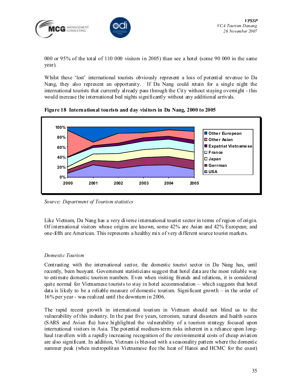

000 or 95% of the total of 110 000 visitors in 2005) than see a hotel (some 90 000 in the same year).

Whilst these 'lost' international tourists obviously represent a loss of potential revenue to Da Nang, they also represent an opportunity. If Da Nang could retain for a single night the international tourists that currently already pass through the City without staying overnight - this would increase the international bed nights significantly without any additional arrivals.



Figure 18 International tourists and day visitors in Da Nang, 2000 to 2005

Source: Department of Tourism statistics

Like Vietnam, Da Nang has a very diverse international tourist sector in terms of region of origin. Of international visitors whose origins are known, some 42% are Asian and 42% European; and one-fifth are American. This represents a healthy mix of very different source tourist markets.

#### Domestic Tourism

Contrasting with the international sector, the domestic tourist sector in Da Nang has, until recently, been buoyant. Government statisticians suggest that hotel data are the most reliable way to estimate domestic tourism numbers. Even when visiting friends and relations, it is considered quite normal for Vietnamese tourists to stay in hotel accommodation – which suggests that hotel data is likely to be a reliable measure of domestic tourism. Significant growth – in the order of 16% per year - was realized until the downturn in 2006.

The rapid recent growth in international tourism in Vietnam should not blind us to the vulnerability of this industry. In the past five years, terrorism, natural disasters and health scares (SARS and Avian flu) have highlighted the vulnerability of a tourism strategy focused upon international visitors in Asia. The potential medium-term risks inherent in a reliance upon longhaul travellers with a rapidly increasing recognition of the environmental costs of cheap aviation are also significant. In addition, Vietnam is blessed with a seasonality pattern where the domestic summer peak (when metropolitan Vietnamese flee the heat of Hanoi and HCMC for the coast)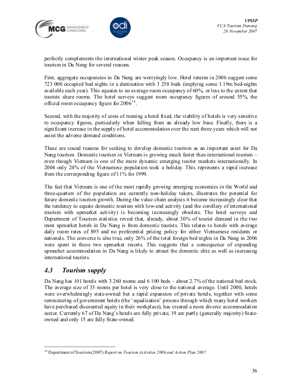



perfectly complements the international winter peak season. Occupancy is an important issue for tourism in Da Nang for several reasons.

First, aggregate occupancies in Da Nang are worryingly low. Hotel returns in 2006 suggest some 723 000 occupied bed nights in a destination with 3 258 beds (implying some 1.19m bed-nights available each year). This equates to an average room occupancy of 60% or less to the extent that tourists share rooms. The hotel surveys suggest room occupancy figures of around 55%, the official room occupancy figure for  $2006^{14}$ .

Second, with the majority of costs of running a hotel fixed, the viability of hotels is very sensitive to occupancy figures, particularly when falling from an already low base. Finally, there is a significant increase in the supply of hotel accommodation over the next three years which will not assist the adverse demand conditions.

These are sound reasons for seeking to develop domestic tourism as an important asset for Da Nang tourism. Domestic tourism in Vietnam is growing much faster than international tourism – even though Vietnam is one of the more dynamic emerging tourist markets internationally. In 2004 only 24% of the Vietnamese population took a holiday. This represents a rapid increase from the corresponding figure of 11% for 1999.

The fact that Vietnam is one of the most rapidly growing emerging economies in the World and three-quarters of the population are currently non-holiday takers, illustrates the potential for future domestic tourism growth. During the value chain analysis it became increasingly clear that the tendency to equate domestic tourism with low-end activity (and the corollary of international tourism with upmarket activity) is becoming increasingly obsolete. The hotel surveys and Department of Tourism statistics reveal that, already, about 30% of tourist demand in the two most upmarket hotels in Da Nang is from domestic tourists. This relates to hotels with average daily room rates of \$95 and no preferential pricing policy for either Vietnamese residents or nationals. The converse is also true, only 26% of the total foreign bed nights in Da Nang in 2006 were spent in these two upmarket resorts. This suggests that a consequence of expanding upmarket accommodation in Da Nang is likely to attract the domestic elite as well as increasing international tourists.

## 4.3 Tourism supply

 $\overline{a}$ 

Da Nang has 101 hotels with 3 260 rooms and 6 100 beds – about 2.7% of the national bed stock. The average size of 33 rooms per hotel is very close to the national average. Until 2000, hotels were overwhelmingly state-owned but a rapid expansion of private hotels, together with some restructuring of government hotels (the 'equalisation' process through which many hotel workers have purchased discounted equity in their workplace), has created a more diverse accommodation sector. Currently 67 of Da Nang's hotels are fully private, 19 are partly (generally majority) Stateowned and only 15 are fully State-owned.

 $14$  Department of Tourism (2007) Report on Tourism Activities 2006 and Action Plan 2007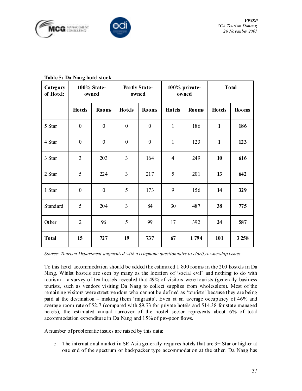



| Category<br>of Hotel: |                  | 100% State-<br>owned |                  | Partly State-<br>owned |                | 100% private-<br>owned | <b>Total</b>  |              |  |  |
|-----------------------|------------------|----------------------|------------------|------------------------|----------------|------------------------|---------------|--------------|--|--|
|                       | <b>Hotels</b>    | <b>Rooms</b>         | <b>Hotels</b>    | <b>Rooms</b>           | <b>Hotels</b>  | <b>Rooms</b>           | <b>Hotels</b> | <b>Rooms</b> |  |  |
| 5 Star                | $\boldsymbol{0}$ | $\boldsymbol{0}$     | $\boldsymbol{0}$ | $\boldsymbol{0}$       | $\mathbf{1}$   | 186                    | $\mathbf{1}$  | 186          |  |  |
| 4 Star                | $\boldsymbol{0}$ | $\boldsymbol{0}$     | $\boldsymbol{0}$ | $\boldsymbol{0}$       | $\mathbf{1}$   | 123                    | $\mathbf{1}$  | 123          |  |  |
| 3 Star                | $\overline{3}$   | 203                  | $\overline{3}$   | 164                    | $\overline{4}$ | 249                    | 10            | 616          |  |  |
| 2 Star                | 5                | 224                  | $\overline{3}$   | 217                    | 5              | 201                    | 13            | 642          |  |  |
| 1 Star                | $\boldsymbol{0}$ | $\boldsymbol{0}$     | 5                | 173                    | 9              | 156                    | 14            | 329          |  |  |
| Standard              | 5                | 204                  | $\overline{3}$   | 84                     | 30             | 487                    | 38            | 775          |  |  |
| Other                 | $\overline{2}$   | 96                   | 5                | 99                     | 17             | 392                    | 24            | 587          |  |  |
| <b>Total</b>          | 15               | 727                  | 19               | 737                    | 1794<br>67     |                        | 101           | 3 2 5 8      |  |  |

#### Table 5: Da Nang hotel stock

Source: Tourism Department augmented with a telephone questionnaire to clarify ownership issues

To this hotel accommodation should be added the estimated 1 800 rooms in the 200 hostels in Da Nang. Whilst hostels are seen by many as the location of 'social evil' and nothing to do with tourism – a survey of ten hostels revealed that 49% of visitors were tourists (generally business tourists, such as vendors visiting Da Nang to collect supplies from wholesalers). Most of the remaining visitors were street vendors who cannot be defined as 'tourists' because they are being paid at the destination – making them 'migrants'. Even at an average occupancy of 46% and average room rate of \$2.7 (compared with \$9.73 for private hotels and \$14.38 for state managed hotels), the estimated annual turnover of the hostel sector represents about 6% of total accommodation expenditure in Da Nang and 15% of pro-poor flows.

A number of problematic issues are raised by this data:

 $\circ$  The international market in SE Asia generally requires hotels that are  $3+$  Star or higher at one end of the spectrum or backpacker type accommodation at the other. Da Nang has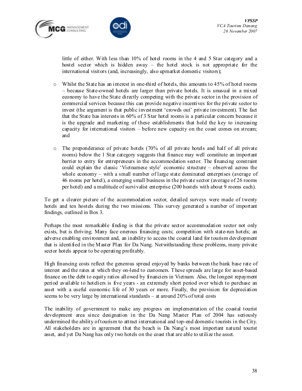



little of either. With less than 10% of hotel rooms in the 4 and 5 Star category and a hostel sector which is hidden away – the hotel stock is not appropriate for the international visitors (and, increasingly, also upmarket domestic visitors);

- $\circ$  Whilst the State has an interest in one-third of hotels, this amounts to 45% of hotel rooms – because State-owned hotels are larger than private hotels. It is unusual in a mixed economy to have the State directly competing with the private sector in the provision of commercial services because this can provide negative incentives for the private sector to invest (the argument is that public investment 'crowds out' private investment). The fact that the State has interests in 60% of 3 Star hotel rooms is a particular concern because it is the upgrade and marketing of these establishments that hold the key to increasing capacity for international visitors – before new capacity on the coast comes on stream; and
- o The preponderance of private hotels (70% of all private hotels and half of all private rooms) below the 1 Star category suggests that finance may well constitute an important barrier to entry for entrepreneurs in the accommodation sector. The financing constraint could explain the classic 'Vietnamese style' economic structure – observed across the whole economy – with a small number of large state dominated enterprises (average of 46 rooms per hotel), a emerging small business in the private sector (average of 26 rooms per hotel) and a multitude of survivalist enterprise (200 hostels with about 9 rooms each).

To get a clearer picture of the accommodation sector, detailed surveys were made of twenty hotels and ten hostels during the two missions. This survey generated a number of important findings, outlined in Box 3.

Perhaps the most remarkable finding is that the private sector accommodation sector not only exists, but is thriving. Many face onerous financing costs; competition with state-run hotels; an adverse enabling environment and, an inability to access the coastal land for tourism development that is identified in the Master Plan for Da Nang. Notwithstanding these problems, many private sector hotels appear to be operating profitably.

High financing costs reflect the generous spread enjoyed by banks between the bank base rate of interest and the rates at which they on-lend to customers. These spreads are large for asset-based finance on the debt to equity ratios allowed by financiers in Vietnam. Also, the longest repayment period available to hoteliers is five years - an extremely short period over which to purchase an asset with a useful economic life of 30 years or more. Finally, the provision for depreciation seems to be very large by international standards – at around 20% of total costs

The inability of government to make any progress on implementation of the coastal tourist development area since designation in the Da Nang Master Plan of 2004 has seriously undermined the ability of tourism to attract international and top-end domestic tourists in the City. All stakeholders are in agreement that the beach is Da Nang's most important natural tourist asset, and yet Da Nang has only two hotels on the coast that are able to utilize the asset.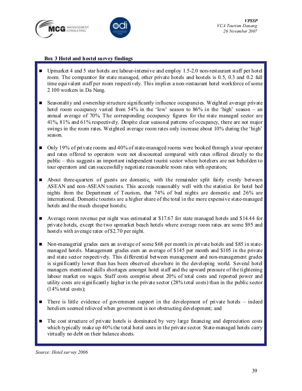



#### Box 3 Hotel and hostel survey findings

- Upmarket 4 and 5 star hotels are labour-intensive and employ 1.5-2.0 non-restaurant staff per hotel room. The comparator for state managed, other private hotels and hostels is 0.5, 0.3 and 0.2 full time equivalent staff per room respectively. This implies a non-restaurant hotel workforce of some 2 100 workers in Da Nang.
- Seasonality and ownership structure significantly influence occupancies. Weighted average private hotel room occupancy varied from 54% in the 'low' season to 86% in the 'high' season – an annual average of 70%. The corresponding occupancy figures for the state managed sector are 41%, 81% and 61% respectively. Despite clear seasonal patterns of occupancy, there are not major swings in the room rates. Weighted average room rates only increase about 10% during the 'high' season.
- Only 19% of private rooms and 40% of state-managed rooms were booked through a tour operator and rates offered to operators were not discounted compared with rates offered directly to the public – this suggests an important independent tourist sector where hoteliers are not beholden to tour operators and can successfully negotiate reasonable room rates with operators;
- About three-quarters of guests are domestic, with the remainder split fairly evenly between ASEAN and non-ASEAN tourists. This accords reasonably well with the statistics for hotel bed nights from the Department of Tourism, that 74% of bed nights are domestic and 26% are international. Domestic tourists are a higher share of the total in the more expensive state-managed hotels and the much cheaper hostels;
- $\blacksquare$  Average room revenue per night was estimated at \$17.67 for state managed hotels and \$14.44 for private hotels, except the two upmarket beach hotels where average room rates are some \$95 and hostels with average rates of \$2.70 per night.
- Non-managerial grades earn an average of some \$68 per month in private hotels and \$85 in statemanaged hotels. Management grades earn an average of \$145 per month and \$105 in the private and state sector respectively. This differential between management and non-management grades is significantly lower than has been observed elsewhere in the developing world. Several hotel managers mentioned skills shortages amongst hotel staff and the upward pressure of the tightening labour market on wages. Staff costs comprise about 20% of total costs and reported power and utility costs are significantly higher in the private sector (28% total costs) than in the public sector  $(14% \text{ total costs});$
- $\blacksquare$  There is little evidence of government support in the development of private hotels indeed hoteliers seemed relieved when government is not obstructing development; and
- The cost structure of private hotels is dominated by very large financing and depreciation costs which typically make up 40% the total hotel costs in the private sector. State-managed hotels carry virtually no debt on their balance sheets.

Source: Hotel survey 2006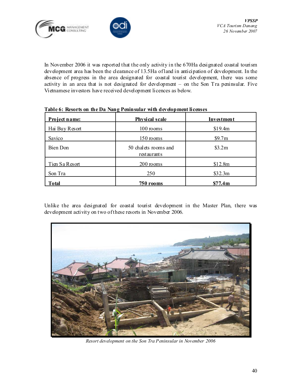



In November 2006 it was reported that the only activity in the 670Ha designated coastal tourism development area has been the clearance of 13.5Ha of land in anticipation of development. In the absence of progress in the area designated for coastal tourist development, there was some activity in an area that is not designated for development – on the Son Tra peninsular. Five Vietnamese investors have received development licences as below.

| Project name:   | Physical scale                      | Investment |
|-----------------|-------------------------------------|------------|
| Hai Buy Resort  | 100 rooms                           | \$19.4m    |
| Savico          | 150 rooms                           | \$9.7m     |
| <b>Bien Don</b> | 50 chalets rooms and<br>restaurants | \$3.2m     |
| Tien Sa Resort  | 200 rooms                           | \$12.8m    |
| Son Tra         | 250                                 | \$32.3m    |
| <b>Total</b>    | $750$ rooms                         | \$77.4m    |

|  |  |  | Table 6: Resorts on the Da Nang Peninsular with development licenses |
|--|--|--|----------------------------------------------------------------------|
|  |  |  |                                                                      |

Unlike the area designated for coastal tourist development in the Master Plan, there was development activity on two of these resorts in November 2006.



Resort development on the Son Tra Peninsular in November 2006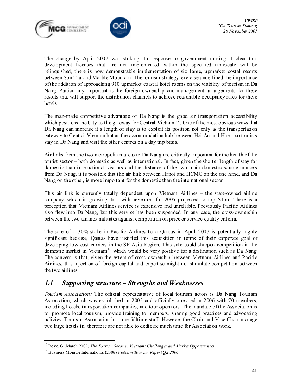



The change by April 2007 was striking. In response to government making it clear that development licenses that are not implemented within the specified timescale will be relinquished, there is now demonstrable implementation of six large, upmarket costal resorts between Son Tra and Marble Mountain. The tourism strategy exercise underlined the importance of the addition of approaching 910 upmarket coastal hotel rooms on the viability of tourism in Da Nang. Particularly important is the foreign ownership and management arrangements for these resorts that will support the distribution channels to achieve reasonable occupancy rates for these hotels.

The man-made competitive advantage of Da Nang is the good air transportation accessibility which positions the City as the gateway for Central Vietnam<sup>15</sup>. One of the most obvious ways that Da Nang can increase it's length of stay is to exploit its position not only as the transportation gateway to Central Vietnam but as the accommodation hub between Hoi An and Hue – so tourists stay in Da Nang and visit the other centres on a day trip basis.

Air links from the two metropolitan areas to Da Nang are critically important for the health of the tourist sector – both domestic as well as international. In fact, given the shorter length of stay for domestic than international visitors and the distance of the two main domestic source markets from Da Nang, it is possible that the air link between Hanoi and HCMC on the one hand, and Da Nang on the other, is more important for the domestic than the international sector.

This air link is currently totally dependent upon Vietnam Airlines – the state-owned airline company which is growing fast with revenues for 2005 projected to top \$1bn. There is a perception that Vietnam Airlines service is expensive and unreliable. Previously Pacific Airlines also flew into Da Nang, but this service has been suspended. In any case, the cross-ownership between the two airlines militates against competition on price or service quality criteria.

The sale of a 30% stake in Pacific Airlines to a Qantas in April 2007 is potentially highly significant because, Qantas have justified this acquisition in terms of their corporate goal of developing low cost carriers in the SE Asia Region. This sale could sharpen competition in the domestic market in Vietnam<sup>16</sup> which would be very positive for a destination such as Da Nang. The concern is that, given the extent of cross ownership between Vietnam Airlines and Pacific Airlines, this injection of foreign capital and expertise might not stimulate competition between the two airlines.

## 4.4 Supporting structure – Strengths and Weaknesses

Tourism Association: The official representative of local tourism actors is Da Nang Tourism Association, which was established in 2005 and officially operated in 2006 with 70 members, including hotels, transportation companies, and tour operators. The mandate of the Association is to: promote local tourism, provide training to members, sharing good practices and advocating policies. Tourism Association has one fulltime staff. However the Chair and Vice Chair manage two large hotels in therefore are not able to dedicate much time for Association work.

 $\overline{a}$ 

<sup>&</sup>lt;sup>15</sup> Boye, G (March 2002) The Tourism Secor in Vietnam: Challenges and Market Opportunities

<sup>&</sup>lt;sup>16</sup> Business Monitor International (2006) Vietnam Tourism Report Q2 2006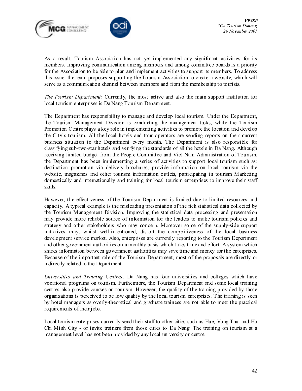



As a result, Tourism Association has not yet implemented any significant activities for its members. Improving communication among members and among committee boards is a priority for the Association to be able to plan and implement activities to support its members. To address this issue, the team proposes supporting the Tourism Association to create a website, which will serve as a communication channel between members and from the membership to tourists.

The Tourism Department: Currently, the most active and also the main support institution for local tourism enterprises is Da Nang Tourism Department.

The Department has responsibility to manage and develop local tourism. Under the Department, the Tourism Management Division is conducting the management tasks, while the Tourism Promotion Centre plays a key role in implementing activities to promote the location and develop the City's tourism. All the local hotels and tour operators are sending reports on their current business situation to the Department every month. The Department is also responsible for classifying sub-two-star hotels and verifying the standards of all the hotels in Da Nang. Although receiving limited budget from the People Committee and Viet Nam Administration of Tourism, the Department has been implementing a series of activities to support local tourism such as: destination promotion via delivery brochures, provide information on local tourism via the website, magazines and other tourism information outlets, participating in tourism Marketing domestically and internationally and training for local tourism enterprises to improve their staff skills.

However, the effectiveness of the Tourism Department is limited due to limited resources and capacity. A typical example is the misleading presentation of the rich statistical data collected by the Tourism Management Division. Improving the statistical data processing and presentation may provide more reliable source of information for the leaders to make tourism policies and strategy and other stakeholders who may concern. Moreover some of the supply-side support initiatives may, whilst well-intentioned, distort the competitiveness of the local business development service market. Also, enterprises are currently reporting to the Tourism Department and other government authorities on a monthly basis which takes time and effort. A system which shares information between government authorities may save time and money for the enterprises. Because of the important role of the Tourism Department, most of the proposals are directly or indirectly related to the Department.

Universities and Training Centres: Da Nang has four universities and colleges which have vocational programs on tourism. Furthermore, the Tourism Department and some local training centres also provide courses on tourism. However, the quality of the training provided by those organizations is perceived to be low quality by the local tourism enterprises. The training is seen by hotel managers as overly-theoretical and graduate trainees are not able to meet the practical requirements of their jobs.

Local tourism enterprises currently send their staff to other cities such as Hue, Vung Tau, and Ho Chi Minh City - or invite trainers from those cities to Da Nang. The training on tourism at a management level has not been provided by any local university or centre.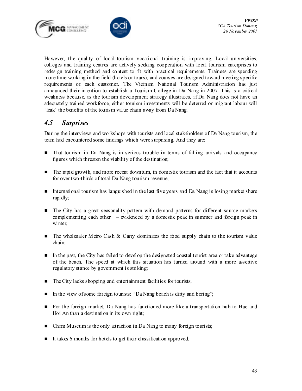



However, the quality of local tourism vocational training is improving. Local universities, colleges and training centres are actively seeking cooperation with local tourism enterprises to redesign training method and content to fit with practical requirements. Trainees are spending more time working in the field (hotels or tours), and courses are designed toward meeting specific requirements of each customer. The Vietnam National Tourism Administration has just announced their intention to establish a Tourism College in Da Nang in 2007. This is a critical weakness because, as the tourism development strategy illustrates, if Da Nang does not have an adequately trained workforce, either tourism investments will be deterred or migrant labour will 'leak' the benefits of the tourism value chain away from Da Nang.

## 4.5 Surprises

During the interviews and workshops with tourists and local stakeholders of Da Nang tourism, the team had encountered some findings which were surprising. And they are:

- That tourism in Da Nang is in serious trouble in terms of falling arrivals and occupancy figures which threaten the viability of the destination;
- The rapid growth, and more recent downturn, in domestic tourism and the fact that it accounts for over two-thirds of total Da Nang tourism revenue;
- International tourism has languished in the last five years and Da Nang is losing market share rapidly;
- **The City has a great seasonality pattern with demand patterns for different source markets** complementing each other – evidenced by a domestic peak in summer and foreign peak in winter:
- $\blacksquare$  The wholesaler Metro Cash & Carry dominates the food supply chain to the tourism value chain;
- In the past, the City has failed to develop the designated coastal tourist area or take advantage of the beach. The speed at which this situation has turned around with a more assertive regulatory stance by government is striking;
- $\blacksquare$  The City lacks shopping and entertainment facilities for tourists;
- In the view of some foreign tourists: "Da Nang beach is dirty and boring";
- For the foreign market, Da Nang has functioned more like a transportation hub to Hue and Hoi An than a destination in its own right;
- Cham Museum is the only attraction in Da Nang to many foreign tourists;
- It takes 6 months for hotels to get their classification approved.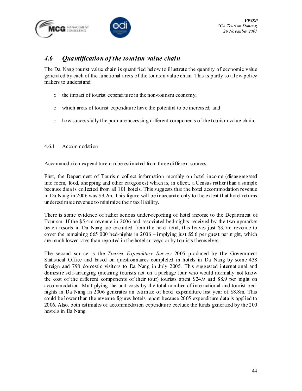



### 4.6 Quantification of the tourism value chain

The Da Nang tourist value chain is quantified below to illustrate the quantity of economic value generated by each of the functional areas of the tourism value chain. This is partly to allow policy makers to understand:

- o the impact of tourist expenditure in the non-tourism economy;
- o which areas of tourist expenditure have the potential to be increased; and
- o how successfully the poor are accessing different components of the tourism value chain.
- 4.6.1 Accommodation

Accommodation expenditure can be estimated from three different sources.

First, the Department of Tourism collect information monthly on hotel income (disaggregated into room, food, shopping and other categories) which is, in effect, a Census rather than a sample because data is collected from all 101 hotels. This suggests that the hotel accommodation revenue in Da Nang in 2006 was \$9.2m. This figure will be inaccurate only to the extent that hotel returns underestimate revenue to minimize their tax liability.

There is some evidence of rather serious under-reporting of hotel income to the Department of Tourism. If the \$5.4m revenue in 2006 and associated bed-nights received by the two upmarket beach resorts in Da Nang are excluded from the hotel total, this leaves just \$3.7m revenue to cover the remaining  $665\ 000$  bed-nights in  $2006 -$  implying just \$5.6 per guest per night, which are much lower rates than reported in the hotel surveys or by tourists themselves.

The second source is the Tourist Expenditure Survey 2005 produced by the Government Statistical Office and based on questionnaires completed in hotels in Da Nang by some 438 foreign and 798 domestic visitors to Da Nang in July 2005. This suggested international and domestic self-arranging (meaning tourists not on a package tour who would normally not know the cost of the different components of their tour) tourists spent \$24.9 and \$8.9 per night on accommodation. Multiplying the unit costs by the total number of international and tourist bednights in Da Nang in 2006 generates an estimate of hotel expenditure last year of \$8.8m. This could be lower than the revenue figures hotels report because 2005 expenditure data is applied to 2006. Also, both estimates of accommodation expenditure exclude the funds generated by the 200 hostels in Da Nang.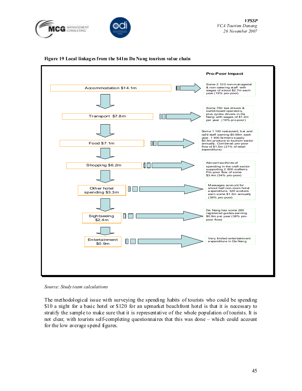





#### Figure 19 Local linkages from the \$41m Da Nang tourism value chain

Source: Study team calculations

The methodological issue with surveying the spending habits of tourists who could be spending \$10 a night for a basic hotel or \$120 for an upmarket beachfront hotel is that it is necessary to stratify the sample to make sure that it is representative of the whole population of tourists. It is not clear, with tourists self-completing questionnaires that this was done – which could account for the low average spend figures.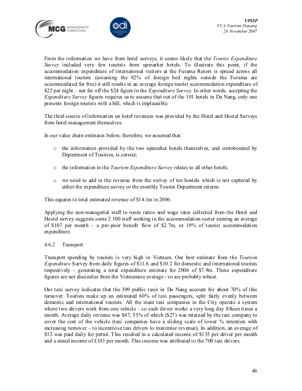



From the information we have from hotel surveys, it seems likely that the Tourist Expenditure Survey included very few tourists from upmarket hotels. To illustrate this point, if the accommodation expenditure of international visitors at the Furama Resort is spread across all international tourists (assuming the 82% of foreign bed nights outside the Furama are accommodated for free) it still results in an average foreign tourist accommodation expenditure of \$22 per night – not far off the \$24 figure in the *Expenditure Survey*. In other words, accepting the Expenditure Survey figures requires us to assume that out of the 101 hotels in Da Nang, only one presents foreign tourists with a bill, which is implausible.

The third source of information on hotel revenues was provided by the Hotel and Hostel Surveys from hotel management themselves.

In our value chain estimates below, therefore, we assumed that:

- $\circ$  the information provided by the two upmarket hotels themselves, and corroborated by Department of Tourism, is correct;
- o the information in the Tourism Expenditure Survey relates to all other hotels;
- o we need to add in the revenue from the survey of ten hostels which is not captured by either the expenditure survey or the monthly Tourist Department returns.

This equates to total estimated revenue of \$14.1m in 2006.

Applying the non-managerial staff to room ratios and wage rates collected from the Hotel and Hostel survey suggests some 2 100 staff working in the accommodation sector earning an average of \$107 per month – a pro-poor benefit flow of \$2.7m, or 19% of tourist accommodation expenditure.

#### 4.6.2 Transport

Transport spending by tourists is very high in Vietnam. Our best estimate from the Tourism Expenditure Survey from daily figures of \$11.6 and \$10.2 for domestic and international tourists respectively – generating a total expenditure estimate for 2006 of \$7.9m. These expenditure figures are not dissimilar from the Vietnamese average - so are probably robust.

Our taxi survey indicates that the 309 public taxis in Da Nang account for about 70% of this turnover. Tourists make up an estimated 60% of taxi passengers, split fairly evenly between domestic and international tourists. All the main taxi companies in the City operate a system where two drivers work from one vehicle – so each driver works a very long day fifteen times a month. Average daily revenue was \$47, 55% of which (\$27) was retained by the taxi company to cover the cost of the vehicle (taxi companies have a sliding scale of lower % retention with increasing turnover – to incentivise taxi drivers to maximise revenue). In addition, an average of \$12 was paid daily for petrol. This resulted in a calculated income of \$135 per driver per month and a stated income of  $£101$  per month. This income was attributed to the 700 taxi drivers.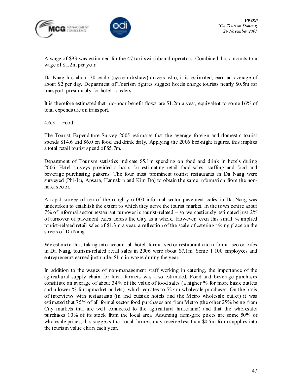



A wage of \$93 was estimated for the 47 taxi switchboard operators. Combined this amounts to a wage of \$1.2m per year.

Da Nang has about 70 cyclo (cycle rickshaw) drivers who, it is estimated, earn an average of about \$2 per day. Department of Tourism figures suggest hotels charge tourists nearly \$0.5m for transport, presumably for hotel transfers.

It is therefore estimated that pro-poor benefit flows are \$1.2m a year, equivalent to some 16% of total expenditure on transport.

4.6.3 Food

The Tourist Expenditure Survey 2005 estimates that the average foreign and domestic tourist spends \$14.6 and \$6.0 on food and drink daily. Applying the 2006 bed-night figures, this implies a total retail tourist spend of \$5.7m.

Department of Tourism statistics indicate \$5.1m spending on food and drink in hotels during 2006. Hotel surveys provided a basis for estimating retail food sales, staffing and food and beverage purchasing patterns. The four most prominent tourist restaurants in Da Nang were surveyed (Phi-Lu, Apsara, Hannakin and Kim Do) to obtain the same information from the nonhotel sector.

A rapid survey of ten of the roughly 6 000 informal sector pavement cafes in Da Nang was undertaken to establish the extent to which they serve the tourist market. In the town centre about 7% of informal sector restaurant turnover is tourist-related – so we cautiously estimated just 2% of turnover of pavement cafes across the City as a whole. However, even this small % implied tourist-related retail sales of \$1.3m a year, a reflection of the scale of catering taking place on the streets of Da Nang.

We estimate that, taking into account all hotel, formal sector restaurant and informal sector cafes in Da Nang, tourism-related retail sales in 2006 were about \$7.1m. Some 1 100 employees and entrepreneurs earned just under \$1m in wages during the year.

In addition to the wages of non-management staff working in catering, the importance of the agricultural supply chain for local farmers was also estimated. Food and beverage purchases constitute an average of about 34% of the value of food sales (a higher % for more basic outlets and a lower % for upmarket outlets), which equates to \$2.4m wholesale purchases. On the basis of interviews with restaurants (in and outside hotels and the Metro wholesale outlet) it was estimated that 75% of all formal sector food purchases are from Metro (the other 25% being from City markets that are well connected to the agricultural hinterland) and that the wholesaler purchases 10% of its stock from the local area. Assuming farm-gate prices are some 50% of wholesale prices; this suggests that local farmers may receive less than \$0.5m from supplies into the tourism value chain each year.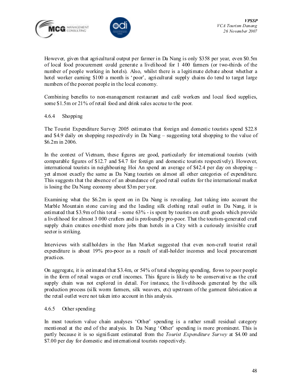



However, given that agricultural output per farmer in Da Nang is only \$358 per year, even \$0.5m of local food procurement could generate a livelihood for 1 400 farmers (or two-thirds of the number of people working in hotels). Also, whilst there is a legitimate debate about whether a hotel worker earning \$100 a month is 'poor', agricultural supply chains do tend to target large numbers of the poorest people in the local economy.

Combining benefits to non-management restaurant and café workers and local food supplies, some \$1.5m or 21% of retail food and drink sales accrue to the poor.

#### 4.6.4 Shopping

The Tourist Expenditure Survey 2005 estimates that foreign and domestic tourists spend \$22.8 and \$4.9 daily on shopping respectively in Da Nang – suggesting total shopping to the value of \$6.2m in 2006.

In the context of Vietnam, these figures are good, particularly for international tourists (with comparable figures of \$12.7 and \$4.7 for foreign and domestic tourists respectively). However, international tourists in neighbouring Hoi An spend an average of \$42.4 per day on shopping – yet almost exactly the same as Da Nang tourists on almost all other categories of expenditure. This suggests that the absence of an abundance of good retail outlets for the international market is losing the Da Nang economy about \$3m per year.

Examining what the \$6.2m is spent on in Da Nang is revealing. Just taking into account the Marble Mountain stone carving and the leading silk clothing retail outlet in Da Nang, it is estimated that \$3.9m of this total – some 63% - is spent by tourists on craft goods which provide a livelihood for almost 3 000 crafters and is profoundly pro-poor. That the tourism-generated craft supply chain creates one-third more jobs than hotels in a City with a curiously invisible craft sector is striking.

Interviews with stallholders in the Han Market suggested that even non-craft tourist retail expenditure is about 19% pro-poor as a result of stall-holder incomes and local procurement practices.

On aggregate, it is estimated that \$3.4m, or 54% of total shopping spending, flows to poor people in the form of retail wages or craft incomes. This figure is likely to be conservative as the craft supply chain was not explored in detail. For instance, the livelihoods generated by the silk production process (silk worm farmers, silk weavers, etc) upstream of the garment fabrication at the retail outlet were not taken into account in this analysis.

#### 4.6.5 Other spending

In most tourism value chain analyses 'Other' spending is a rather small residual category mentioned at the end of the analysis. In Da Nang 'Other' spending is more prominent. This is partly because it is so significant estimated from the *Tourist Expenditure Survey* at \$4.00 and \$7.00 per day for domestic and international tourists respectively.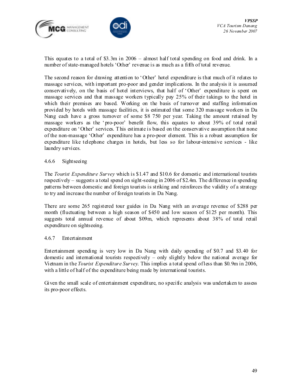



This equates to a total of \$3.3m in 2006 – almost half total spending on food and drink. In a number of state-managed hotels 'Other' revenue is as much as a fifth of total revenue.

The second reason for drawing attention to 'Other' hotel expenditure is that much of it relates to massage services, with important pro-poor and gender implications. In the analysis it is assumed conservatively, on the basis of hotel interviews, that half of 'Other' expenditure is spent on massage services and that massage workers typically pay 25% of their takings to the hotel in which their premises are based. Working on the basis of turnover and staffing information provided by hotels with massage facilities, it is estimated that some 320 massage workers in Da Nang each have a gross turnover of some \$8 750 per year. Taking the amount retained by massage workers as the 'pro-poor' benefit flow, this equates to about 39% of total retail expenditure on 'Other' services. This estimate is based on the conservative assumption that none of the non-massage 'Other' expenditure has a pro-poor element. This is a robust assumption for expenditure like telephone charges in hotels, but less so for labour-intensive services - like laundry services.

#### 4.6.6 Sightseeing

The *Tourist Expenditure Survey* which is \$1.47 and \$10.6 for domestic and international tourists respectively – suggests a total spend on sight-seeing in 2006 of \$2.4m. The difference in spending patterns between domestic and foreign tourists is striking and reinforces the validity of a strategy to try and increase the number of foreign tourists in Da Nang.

There are some 265 registered tour guides in Da Nang with an average revenue of \$288 per month (fluctuating between a high season of \$450 and low season of \$125 per month). This suggests total annual revenue of about \$09m, which represents about 38% of total retail expenditure on sightseeing.

#### 4.6.7 Entertainment

Entertainment spending is very low in Da Nang with daily spending of \$0.7 and \$3.40 for domestic and international tourists respectively – only slightly below the national average for Vietnam in the *Tourist Expenditure Survey*. This implies a total spend of less than \$0.9m in 2006, with a little of half of the expenditure being made by international tourists.

Given the small scale of entertainment expenditure, no specific analysis was undertaken to assess its pro-poor effects.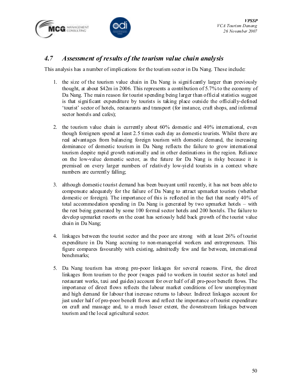



## 4.7 Assessment of results of the tourism value chain analysis

This analysis has a number of implications for the tourism sector in Da Nang. These include:

- 1. the size of the tourism value chain in Da Nang is significantly larger than previously thought, at about \$42m in 2006. This represents a contribution of 5.7% to the economy of Da Nang. The main reason for tourist spending being larger than official statistics suggest is that significant expenditure by tourists is taking place outside the officially-defined 'tourist' sector of hotels, restaurants and transport (for instance, craft shops, and informal sector hostels and cafes);
- 2. the tourism value chain is currently about 60% domestic and 40% international, even though foreigners spend at least 2.5 times each day as domestic tourists. Whilst there are real advantages from balancing foreign tourism with domestic demand, the increasing dominance of domestic tourism in Da Nang reflects the failure to grow international tourism despite rapid growth nationally and in other destinations in the region. Reliance on the low-value domestic sector, as the future for Da Nang is risky because it is premised on every larger numbers of relatively low-yield tourists in a context where numbers are currently falling;
- 3. although domestic tourist demand has been buoyant until recently, it has not been able to compensate adequately for the failure of Da Nang to attract upmarket tourists (whether domestic or foreign). The importance of this is reflected in the fact that nearly 40% of total accommodation spending in Da Nang is generated by two upmarket hotels – with the rest being generated by some 100 formal sector hotels and 200 hostels. The failure to develop upmarket resorts on the coast has seriously held back growth of the tourist value chain in Da Nang;
- 4. linkages between the tourist sector and the poor are strong with at least 26% of tourist expenditure in Da Nang accruing to non-managerial workers and entrepreneurs. This figure compares favourably with existing, admittedly few and far between, international benchmarks;
- 5. Da Nang tourism has strong pro-poor linkages for several reasons. First, the direct linkages from tourism to the poor (wages paid to workers in tourist sector as hotel and restaurant works, taxi and guides) account for over half of all pro-poor benefit flows. The importance of direct flows reflects the labour market conditions of low unemployment and high demand for labour that increase returns to labour. Indirect linkages account for just under half of pro-poor benefit flows and reflect the importance of tourist expenditure on craft and massage and, to a much lesser extent, the downstream linkages between tourism and the local agricultural sector.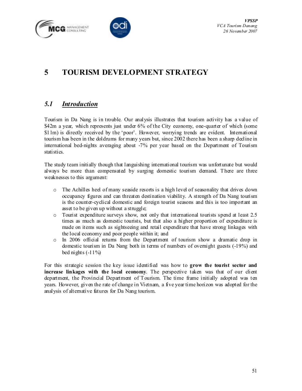



# 5 TOURISM DEVELOPMENT STRATEGY

## 5.1 Introduction

Tourism in Da Nang is in trouble. Our analysis illustrates that tourism activity has a value of \$42m a year, which represents just under 6% of the City economy, one-quarter of which (some \$11m) is directly received by the 'poor'. However, worrying trends are evident. International tourism has been in the doldrums for many years but, since 2002 there has been a sharp decline in international bed-nights averaging about -7% per year based on the Department of Tourism statistics.

The study team initially though that languishing international tourism was unfortunate but would always be more than compensated by surging domestic tourism demand. There are three weaknesses to this argument:

- o The Achilles heel of many seaside resorts is a high level of seasonality that drives down occupancy figures and can threaten destination viability. A strength of Da Nang tourism is the counter-cyclical domestic and foreign tourist seasons and this is too important an asset to be given up without a struggle;
- o Tourist expenditure surveys show, not only that international tourists spend at least 2.5 times as much as domestic tourists, but that also a higher proportion of expenditure is made on items such as sightseeing and retail expenditure that have strong linkages with the local economy and poor people within it; and
- o In 2006 official returns from the Department of tourism show a dramatic drop in domestic tourism in Da Nang both in terms of numbers of overnight guests (-19%) and bed nights  $(-11\%)$

For this strategic session the key issue identified was how to grow the tourist sector and increase linkages with the local economy. The perspective taken was that of our client department, the Provincial Department of Tourism. The time frame initially adopted was ten years. However, given the rate of change in Vietnam, a five year time horizon was adopted for the analysis of alternative futures for Da Nang tourism.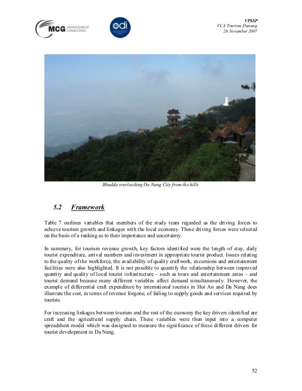





Bhudda overlooking Da Nang City from the hills

## 5.2 Framework

Table 7 outlines variables that members of the study team regarded as the driving forces to achieve tourism growth and linkages with the local economy. These driving forces were selected on the basis of a ranking as to their importance and uncertainty.

In summary, for tourism revenue growth, key factors identified were the length of stay, daily tourist expenditure, arrival numbers and investment in appropriate tourist product. Issues relating to the quality of the workforce, the availability of quality craftwork, excursions and entertainment facilities were also highlighted. It is not possible to quantify the relationship between improved quantity and quality of local tourist infrastructure – such as tours and entertainment areas – and tourist demand because many different variables affect demand simultaneously. However, the example of differential craft expenditure by international tourists in Hoi An and Da Nang does illustrate the cost, in terms of revenue forgone, of failing to supply goods and services required by tourists.

For increasing linkages between tourism and the rest of the economy the key drivers identified are craft and the agricultural supply chain. These variables were then input into a computer spreadsheet model which was designed to measure the significance of these different drivers for tourist development in Da Nang.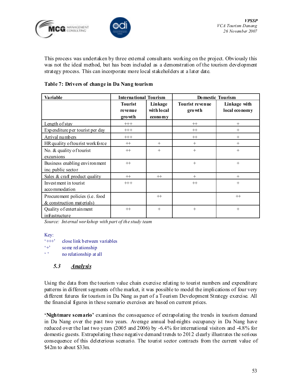



This process was undertaken by three external consultants working on the project. Obviously this was not the ideal method, but has been included as a demonstration of the tourism development strategy process. This can incorporate more local stakeholders at a later date.

#### Table 7: Drivers of change in Da Nang tourism

| Va riable                              | <b>International Tourism</b> |                                                  | Do mestic Tourism                 |                               |  |  |  |  |
|----------------------------------------|------------------------------|--------------------------------------------------|-----------------------------------|-------------------------------|--|--|--|--|
|                                        | <b>Tourist</b><br>revenue    | Linkage<br>with local                            | <b>Tourist revenue</b><br>gro wth | Linkage with<br>local economy |  |  |  |  |
|                                        | gro wth                      | economy                                          |                                   |                               |  |  |  |  |
| Length of stay                         | $+++$                        |                                                  | $+$                               | $^{+}$                        |  |  |  |  |
| Expenditure per tourist per day        | $+++$                        |                                                  | $+$                               | $^{+}$                        |  |  |  |  |
| Arrival numbers                        | $+++$                        |                                                  | $+$                               | $^{+}$                        |  |  |  |  |
| HR quality of tourist work force       | $^{++}$                      | $^{+}$                                           | $^{+}$                            | $^{+}$                        |  |  |  |  |
| No. & quality of tourist               | $^{++}$                      | $+$                                              | $+$                               | $+$                           |  |  |  |  |
| excursions                             |                              |                                                  |                                   |                               |  |  |  |  |
| Business enabling environment          | $^{++}$                      |                                                  | $+$                               | $+$                           |  |  |  |  |
| inc. public sector                     |                              |                                                  |                                   |                               |  |  |  |  |
| Sales $& \text{craft product quality}$ | $^{++}$                      | $\qquad \qquad \, +\qquad \qquad +\qquad \qquad$ | $^{+}$                            | $^{+}$                        |  |  |  |  |
| Investment in tourist                  | $++$                         |                                                  | $^{+}$                            | $^{+}$                        |  |  |  |  |
| accommodation                          |                              |                                                  |                                   |                               |  |  |  |  |
| Procurement policies (i.e. food        |                              | $^{++}$                                          |                                   | $^{++}$                       |  |  |  |  |
| & construction materials)              |                              |                                                  |                                   |                               |  |  |  |  |
| Quality of entert ain ment             | $^{++}$                      | $+$                                              | $^{+}$                            | $+$                           |  |  |  |  |
| infrastructure                         |                              |                                                  |                                   |                               |  |  |  |  |

Source: Internal workshop with part of the study team

Key:

'+++' close link between variables '+' some relationship ' ' no relationship at all

#### 5.3 Analysis

Using the data from the tourism value chain exercise relating to tourist numbers and expenditure patterns in different segments of the market, it was possible to model the implications of four very different futures for tourism in Da Nang as part of a Tourism Development Strategy exercise. All the financial figures in these scenario exercises are based on current prices.

'Nightmare scenario' examines the consequence of extrapolating the trends in tourism demand in Da Nang over the past two years. Average annual bed-nights occupancy in Da Nang have reduced over the last two years  $(2005 \text{ and } 2006)$  by -6.4% for international visitors and -4.8% for domestic guests. Extrapolating these negative demand trends to 2012 clearly illustrates the serious consequence of this deleterious scenario. The tourist sector contracts from the current value of \$42m to about \$33m.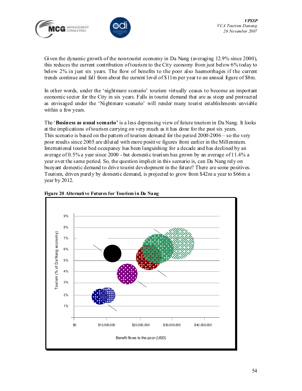



Given the dynamic growth of the non-tourist economy in Da Nang (averaging 12.9% since 2000), this reduces the current contribution of tourism to the City economy from just below 6% today to below 2% in just six years. The flow of benefits to the poor also haemorrhages if the current trends continue and fall from about the current level of \$11m per year to an annual figure of \$8m.

In other words, under the 'nightmare scenario' tourism virtually ceases to become an important economic sector for the City in six years. Falls in tourist demand that are as steep and protracted as envisaged under the 'Nightmare scenario' will render many tourist establishments unviable within a few years.

The 'Business as usual scenario' is a less depressing view of future tourism in Da Nang. It looks at the implications of tourism carrying on very much as it has done for the past six years. This scenario is based on the pattern of tourism demand for the period 2000-2006 – so the very poor results since 2005 are diluted with more positive figures from earlier in the Millennium. International tourist bed occupancy has been languishing for a decade and has declined by an average of 0.5% a year since 2000 - but domestic tourism has grown by an average of 11.4% a year over the same period. So, the question implicit in this scenario is, can Da Nang rely on buoyant domestic demand to drive tourist development in the future? There are some positives. Tourism, driven purely by domestic demand, is projected to grow from \$42m a year to \$66m a year by 2012.



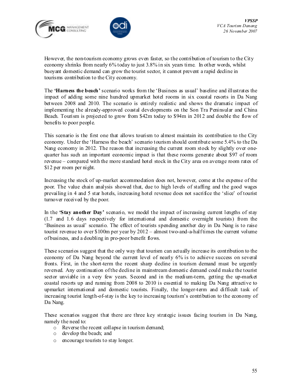



However, the non-tourism economy grows even faster, so the contribution of tourism to the City economy shrinks from nearly 6% today to just 3.8% in six years time. In other words, whilst buoyant domestic demand can grow the tourist sector, it cannot prevent a rapid decline in tourisms contribution to the City economy.

The **Harness the beach**' scenario works from the 'Business as usual' baseline and illustrates the impact of adding some nine hundred upmarket hotel rooms in six coastal resorts in Da Nang between 2008 and 2010. The scenario is entirely realistic and shows the dramatic impact of implementing the already-approved coastal developments on the Son Tra Peninsular and China Beach. Tourism is projected to grow from \$42m today to \$94m in 2012 and double the flow of benefits to poor people.

This scenario is the first one that allows tourism to almost maintain its contribution to the City economy. Under the 'Harness the beach' scenario tourism should contribute some 5.4% to the Da Nang economy in 2012. The reason that increasing the current room stock by slightly over onequarter has such an important economic impact is that these rooms generate about \$97 of room revenue – compared with the more standard hotel stock in the City area on average room rates of \$12 per room per night.

Increasing the stock of up-market accommodation does not, however, come at the expense of the poor. The value chain analysis showed that, due to high levels of staffing and the good wages prevailing in 4 and 5 star hotels, increasing hotel revenue does not sacrifice the 'slice' of tourist turnover received by the poor.

In the **Stay another Day'** scenario, we model the impact of increasing current lengths of stay (1.7 and 1.6 days respectively for international and domestic overnight tourists) from the 'Business as usual' scenario. The effect of tourists spending another day in Da Nang is to raise tourist revenue to over \$100m per year by 2012 – almost two-and-a-half times the current volume of business, and a doubling in pro-poor benefit flows.

These scenarios suggest that the only way that tourism can actually increase its contribution to the economy of Da Nang beyond the current level of nearly 6% is to achieve success on several fronts. First, in the short-term the recent sharp decline in tourism demand must be urgently reversed. Any continuation of the decline in mainstream domestic demand could make the tourist sector unviable in a very few years. Second and in the medium-term, getting the up-market coastal resorts up and running from 2008 to 2010 is essential to making Da Nang attractive to upmarket international and domestic tourists. Finally, the longer-term and difficult task of increasing tourist length-of-stay is the key to increasing tourism's contribution to the economy of Da Nang.

These scenarios suggest that there are three key strategic issues facing tourism in Da Nang, namely the need to:

- o Reverse the recent collapse in tourism demand;
- o develop the beach; and
- o encourage tourists to stay longer.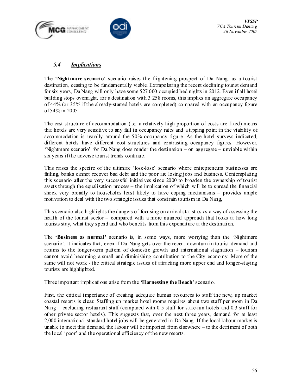



#### 5.4 **Implications**

The 'Nightmare scenario' scenario raises the frightening prospect of Da Nang, as a tourist destination, ceasing to be fundamentally viable. Extrapolating the recent declining tourist demand for six years, Da Nang will only have some 527 000 occupied bed nights in 2012. Even if all hotel building stops overnight, for a destination with 3 258 rooms, this implies an aggregate occupancy of 44% (or 35% if the already-started hotels are completed) compared with an occupancy figure of 54% in 2005.

The cost structure of accommodation (i.e. a relatively high proportion of costs are fixed) means that hotels are very sensitive to any fall in occupancy rates and a tipping point in the viability of accommodation is usually around the 50% occupancy figure. As the hotel surveys indicated, different hotels have different cost structures and contrasting occupancy figures. However, 'Nightmare scenario' for Da Nang does render the destination – on aggregate – unviable within six years if the adverse tourist trends continue.

This raises the spectre of the ultimate 'lose-lose' scenario where entrepreneurs businesses are failing, banks cannot recover bad debt and the poor are losing jobs and business. Contemplating this scenario after the very successful initiatives since 2000 to broaden the ownership of tourist assets through the equalisation process – the implication of which will be to spread the financial shock very broadly to households least likely to have coping mechanisms – provides ample motivation to deal with the two strategic issues that constrain tourism in Da Nang,

This scenario also highlights the dangers of focusing on arrival statistics as a way of assessing the health of the tourist sector – compared with a more nuanced approach that looks at how long tourists stay, what they spend and who benefits from this expenditure at the destination.

The 'Business as normal' scenario is, in some ways, more worrying than the 'Nightmare scenario'. It indicates that, even if Da Nang gets over the recent downturn in tourist demand and returns to the longer-term pattern of domestic growth and international stagnation – tourism cannot avoid becoming a small and diminishing contribution to the City economy. More of the same will not work - the critical strategic issues of attracting more upper end and longer-staying tourists are highlighted.

Three important implications arise from the 'Harnessing the Beach' scenario.

First, the critical importance of creating adequate human resources to staff the new, up market coastal resorts is clear. Staffing up market hotel rooms requires about two staff per room in Da Nang – excluding restaurant staff (compared with 0.5 staff for state-run hotels and 0.3 staff for other private sector hotels). This suggests that, over the next three years, demand for at least 2,000 international standard hotel jobs will be generated in Da Nang. If the local labour market is unable to meet this demand, the labour will be imported from elsewhere – to the detriment of both the local 'poor' and the operational efficiency of the new resorts.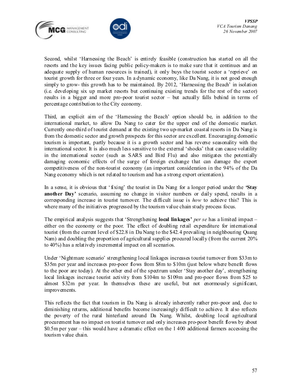



Second, whilst 'Harnessing the Beach' is entirely feasible (construction has started on all the resorts and the key issues facing public policy-makers is to make sure that it continues and an adequate supply of human resources is trained), it only buys the tourist sector a 'reprieve' on tourist growth for three or four years. In a dynamic economy, like Da Nang, it is not good enough simply to grow- this growth has to be maintained. By 2012, 'Harnessing the Beach' in isolation (i.e. developing six up market resorts but continuing existing trends for the rest of the sector) results in a bigger and more pro-poor tourist sector – but actually falls behind in terms of percentage contribution to the City economy.

Third, an explicit aim of the 'Harnessing the Beach' option should be, in addition to the international market, to allow Da Nang to cater for the upper end of the domestic market. Currently one-third of tourist demand at the existing two up-market coastal resorts in Da Nang is from the domestic sector and growth prospects for this sector are excellent. Encouraging domestic tourism is important, partly because it is a growth sector and has reverse seasonality with the international sector. It is also much less sensitive to the external 'shocks' that can cause volatility in the international sector (such as SARS and Bird Flu) and also mitigates the potentially damaging economic effects of the surge of foreign exchange that can damage the export competitiveness of the non-tourist economy (an important consideration in the 94% of the Da Nang economy which is not related to tourism and has a strong export orientation).

In a sense, it is obvious that 'fixing' the tourist in Da Nang for a longer period under the 'Stay another Day' scenario, assuming no change in visitor numbers or daily spend, results in a corresponding increase in tourist turnover. The difficult issue is how to achieve this? This is where many of the initiatives progressed by the tourism value chain study process focus.

The empirical analysis suggests that 'Strengthening **local linkages'** per se has a limited impact – either on the economy or the poor. The effect of doubling retail expenditure for international tourist (from the current level of \$22.8 in Da Nang to the \$42.4 prevailing in neighbouring Quang Nam) and doubling the proportion of agricultural supplies procured locally (from the current 20% to 40%) has a relatively incremental impact on all scenarios.

Under 'Nightmare scenario' strengthening local linkages increases tourist turnover from \$33m to \$35m per year and increases pro-poor flows from \$8m to \$10m (just below where benefit flows to the poor are today). At the other end of the spectrum under 'Stay another day', strengthening local linkages increase tourist activity from \$104m to \$109m and pro-poor flows from \$25 to almost \$32m per year. In themselves these are useful, but not enormously significant, improvements.

This reflects the fact that tourism in Da Nang is already inherently rather pro-poor and, due to diminishing returns, additional benefits become increasingly difficult to achieve. It also reflects the poverty of the rural hinterland around Da Nang. Whilst, doubling local agricultural procurement has no impact on tourist turnover and only increases pro-poor benefit flows by about \$0.5m per year – this would have a dramatic effect on the 1 400 additional farmers accessing the tourism value chain.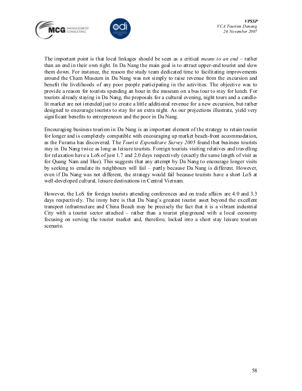



The important point is that local linkages should be seen as a critical *means to an end* – rather than an end in their own right. In Da Nang the main goal is to attract upper-end tourist and slow them down. For instance, the reason the study team dedicated time to facilitating improvements around the Cham Museum in Da Nang was not simply to raise revenue from the excursion and benefit the livelihoods of any poor people participating in the activities. The objective was to provide a reason for tourists spending an hour in the museum on a bus tour to stay for lunch. For tourists already staying in Da Nang, the proposals for a cultural evening, night tours and a candlelit market are not intended just to create a little additional revenue for a new excursion, but rather designed to encourage tourists to stay for an extra night. As our projections illustrate, yield very significant benefits to entrepreneurs and the poor in Da Nang.

Encouraging business tourism in Da Nang is an important element of the strategy to retain tourist for longer and is completely compatible with encouraging up market beach-front accommodation, as the Furama has discovered. The Tourist Expenditure Survey 2005 found that business tourists stay in Da Nang twice as long as leisure tourists. Foreign tourists visiting relatives and travelling for relaxation have a LoS of just 1.7 and 2.0 days respectively (exactly the same length of visit as for Quang Nam and Hue). This suggests that any attempt by Da Nang to encourage longer visits by seeking to emulate its neighbours will fail – partly because Da Nang is different. However, even if Da Nang was not different, the strategy would fail because tourists have a short LoS at well-developed cultural, leisure destinations in Central Vietnam.

However, the LoS for foreign tourists attending conferences and on trade affairs are 4.0 and 3.3 days respectively. The irony here is that Da Nang's greatest tourist asset beyond the excellent transport infrastructure and China Beach may be precisely the fact that it is a vibrant industrial City with a tourist sector attached – rather than a tourist playground with a local economy focusing on serving the tourist market and, therefore, locked into a short stay leisure tourism scenario.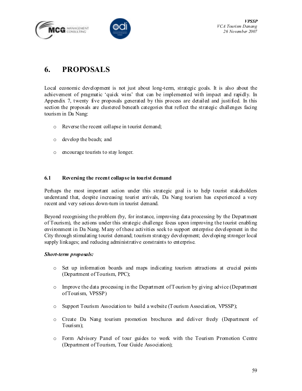**G** MANAGEMENT



# 6. PROPOSALS

Local economic development is not just about long-term, strategic goals. It is also about the achievement of pragmatic 'quick wins' that can be implemented with impact and rapidly. In Appendix 7, twenty five proposals generated by this process are detailed and justified. In this section the proposals are clustered beneath categories that reflect the strategic challenges facing tourism in Da Nang:

- o Reverse the recent collapse in tourist demand;
- o develop the beach; and
- o encourage tourists to stay longer.

#### 6.1 Reversing the recent collapse in tourist demand

Perhaps the most important action under this strategic goal is to help tourist stakeholders understand that, despite increasing tourist arrivals, Da Nang tourism has experienced a very recent and very serious down-turn in tourist demand.

Beyond recognising the problem (by, for instance, improving data processing by the Department of Tourism), the actions under this strategic challenge focus upon improving the tourist enabling environment in Da Nang. Many of these activities seek to support enterprise development in the City through stimulating tourist demand; tourism strategy development; developing stronger local supply linkages; and reducing administrative constraints to enterprise.

#### Short-term proposals:

- o Set up information boards and maps indicating tourism attractions at crucial points (Department of Tourism, PPC);
- $\circ$  Improve the data processing in the Department of Tourism by giving advice (Department of Tourism, VPSSP)
- o Support Tourism Association to build a website (Tourism Association, VPSSP);
- o Create Da Nang tourism promotion brochures and deliver freely (Department of Tourism);
- o Form Advisory Panel of tour guides to work with the Tourism Promotion Centre (Department of Tourism, Tour Guide Association);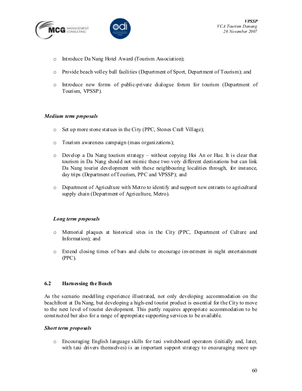



- o Introduce Da Nang Hotel Award (Tourism Association);
- o Provide beach volley ball facilities (Department of Sport, Department of Tourism); and
- o Introduce new forms of public-private dialogue forum for tourism (Department of Tourism, VPSSP).

#### Medium term proposals

- o Set up more stone statues in the City (PPC, Stones Craft Village);
- o Tourism awareness campaign (mass organizations);
- $\circ$  Develop a Da Nang tourism strategy without copying Hoi An or Hue. It is clear that tourism in Da Nang should not mimic these two very different destinations but can link Da Nang tourist development with these neighbouring localities through, for instance, day trips (Department of Tourism, PPC and VPSSP); and
- o Department of Agriculture with Metro to identify and support new entrants to agricultural supply chain (Department of Agriculture, Metro).

#### Long term proposals

- o Memorial plaques at historical sites in the City (PPC, Department of Culture and Information); and
- o Extend closing times of bars and clubs to encourage investment in night entertainment (PPC).

#### 6.2 Harnessing the Beach

As the scenario modelling experience illustrated, not only developing accommodation on the beachfront at Da Nang, but developing a high-end tourist product is essential for the City to move to the next level of tourist development. This partly requires appropriate accommodation to be constructed but also for a range of appropriate supporting services to be available.

#### Short term proposals

o Encouraging English language skills for taxi switchboard operators (initially and, later, with taxi drivers themselves) is an important support strategy to encouraging more up-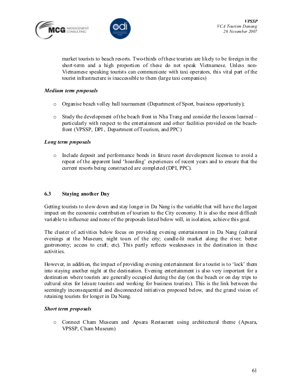



market tourists to beach resorts. Two-thirds of these tourists are likely to be foreign in the short-term and a high proportion of these do not speak Vietnamese. Unless non-Vietnamese speaking tourists can communicate with taxi operators, this vital part of the tourist infrastructure is inaccessible to them (large taxi companies)

#### Medium term proposals

- $\circ$  Organise beach volley ball tournament (Department of Sport, business opportunity);
- o Study the development of the beach front in Nha Trang and consider the lessons learned particularly with respect to the entertainment and other facilities provided on the beachfront (VPSSP, DPI , Department of Tourism, and PPC)

#### Long term proposals

o Include deposit and performance bonds in future resort development licenses to avoid a repeat of the apparent land 'hoarding' experiences of recent years and to ensure that the current resorts being constructed are completed (DPI, PPC).

#### 6.3 Staying another Day

Getting tourists to slow down and stay longer in Da Nang is the variable that will have the largest impact on the economic contribution of tourism to the City economy. It is also the most difficult variable to influence and none of the proposals listed below will, in isolation, achieve this goal.

The cluster of activities below focus on providing evening entertainment in Da Nang (cultural evenings at the Museum; night tours of the city; candle-lit market along the river; better gastronomy; access to craft; etc). This partly reflects weaknesses in the destination in these activities.

However, in addition, the impact of providing evening entertainment for a tourist is to 'lock' them into staying another night at the destination. Evening entertainment is also very important for a destination where tourists are generally occupied during the day (on the beach or on day trips to cultural sites for leisure tourists and working for business tourists). This is the link between the seemingly inconsequential and disconnected initiatives proposed below, and the grand vision of retaining tourists for longer in Da Nang.

#### Short term proposals

o Connect Cham Museum and Apsara Restaurant using architectural theme (Apsara, VPSSP, Cham Museum)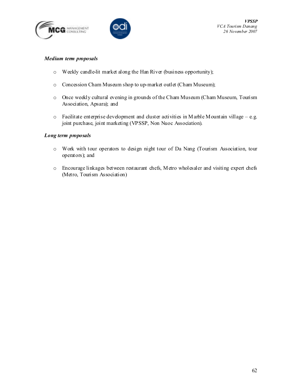



#### Medium term proposals

- o Weekly candle-lit market along the Han River (business opportunity);
- o Concession Cham Museum shop to up-market outlet (Cham Museum);
- o Once weekly cultural evening in grounds of the Cham Museum (Cham Museum, Tourism Association, Apsara); and
- o Facilitate enterprise development and cluster activities in Marble Mountain village e.g. joint purchase, joint marketing (VPSSP, Non Nuoc Association).

#### Long term proposals

- o Work with tour operators to design night tour of Da Nang (Tourism Association, tour operators); and
- o Encourage linkages between restaurant chefs, Metro wholesaler and visiting expert chefs (Metro, Tourism Association)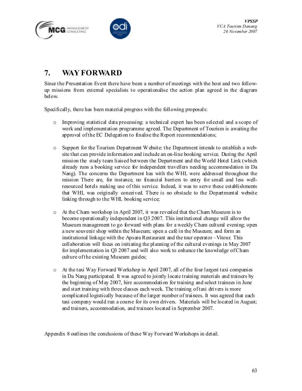



# 7. WAY FORWARD

Since the Presentation Event there have been a number of meetings with the host and two followup missions from external specialists to operationalise the action plan agreed in the diagram below.

Specifically, there has been material progress with the following proposals:

- o Improving statistical data processing: a technical expert has been selected and a scope of work and implementation programme agreed. The Department of Tourism is awaiting the approval of the EC Delegation to finalise the Report recommendations;
- o Support for the Tourism Department W ebsite: the Department intends to establish a website that can provide information and include an on-line booking service. During the April mission the study team liaised between the Department and the World Hotel Link (which already runs a booking service for independent travellers needing accommodation in Da Nang). The concerns the Department has with the WHL were addressed throughout the mission There are, for instance, no financial barriers to entry for small and less wellresourced hotels making use of this service. Indeed, it was to serve these establishments that WHL was originally conceived. There is no obstacle to the Departmental website linking through to the WHL booking service;
- o At the Cham workshop in April 2007, it was revealed that the Cham Museum is to become operationally independent in Q3 2007. This institutional change will allow the Museum management to go forward with plans for a weekly Cham cultural evening; open a new souvenir shop within the Museum; open a café in the Museum; and form an institutional linkage with the Apsara Restaurant and the tour operator –Vitour. This collaboration will focus on initiating the planning of the cultural evenings in May 2007 for implementation in Q3 2007 and will also work to enhance the knowledge of Cham culture of the existing Museum guides;
- $\circ$  At the taxi Way Forward Workshop in April 2007, all of the four largest taxi companies in Da Nang participated. It was agreed to jointly locate training materials and trainers by the beginning of May 2007, hire accommodation for training and select trainees in June and start training with three classes each week. The training of taxi drivers is more complicated logistically because of the larger number of trainees. It was agreed that each taxi company would run a course for its own drivers. Materials will be located in August; and trainers, accommodation, and trainees located in September 2007.

Appendix 8 outlines the conclusions of these Way Forward Workshops in detail.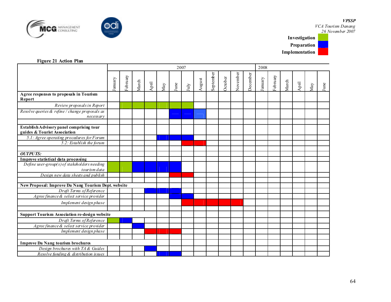



#### VPSSP

VCA Tourism Danang 26 November 2007



#### Figure 21 Action Plan

|                                                                          | 2007    |          |       |      |     |      |      |        |           |         |          | 2008     |         |          |       |      |     |                  |
|--------------------------------------------------------------------------|---------|----------|-------|------|-----|------|------|--------|-----------|---------|----------|----------|---------|----------|-------|------|-----|------------------|
|                                                                          | January | February | March | Apil | May | June | July | August | September | October | November | December | January | February | March | Apil | May | $_{\text{June}}$ |
| Agree responses to proposals in Tourism<br>Report                        |         |          |       |      |     |      |      |        |           |         |          |          |         |          |       |      |     |                  |
| Review proposals in Report                                               |         |          |       |      |     |      |      |        |           |         |          |          |         |          |       |      |     |                  |
| Resolve queries & refine / change proposals as<br>necessarv              |         |          |       |      |     |      |      |        |           |         |          |          |         |          |       |      |     |                  |
| Establish Advisory panel comprising tour<br>guides & Tourist Association |         |          |       |      |     |      |      |        |           |         |          |          |         |          |       |      |     |                  |
| 5.1: Agree operating procedures for Forum                                |         |          |       |      |     |      |      |        |           |         |          |          |         |          |       |      |     |                  |
| 5.2: Establish the forum                                                 |         |          |       |      |     |      |      |        |           |         |          |          |         |          |       |      |     |                  |
|                                                                          |         |          |       |      |     |      |      |        |           |         |          |          |         |          |       |      |     |                  |
| <b>OUTPUTS:</b>                                                          |         |          |       |      |     |      |      |        |           |         |          |          |         |          |       |      |     |                  |
| Improve statistical data processing                                      |         |          |       |      |     |      |      |        |           |         |          |          |         |          |       |      |     |                  |
| Define user-group(s) of stakeholders needing<br>tourism data             |         |          |       |      |     |      |      |        |           |         |          |          |         |          |       |      |     |                  |
| Design new data sheets and publish                                       |         |          |       |      |     |      |      |        |           |         |          |          |         |          |       |      |     |                  |
|                                                                          |         |          |       |      |     |      |      |        |           |         |          |          |         |          |       |      |     |                  |
| New Proposal: Improve Da Nang Tourism Dept. website                      |         |          |       |      |     |      |      |        |           |         |          |          |         |          |       |      |     |                  |
| Draft Terms of Reference                                                 |         |          |       |      |     |      |      |        |           |         |          |          |         |          |       |      |     |                  |
| Agree finance & select service provider                                  |         |          |       |      |     |      |      |        |           |         |          |          |         |          |       |      |     |                  |
| Implement design phase                                                   |         |          |       |      |     |      |      |        |           |         |          |          |         |          |       |      |     |                  |
|                                                                          |         |          |       |      |     |      |      |        |           |         |          |          |         |          |       |      |     |                  |
| Support Tourism Association re-design website                            |         |          |       |      |     |      |      |        |           |         |          |          |         |          |       |      |     |                  |
| Draft Terms of Reference                                                 |         |          |       |      |     |      |      |        |           |         |          |          |         |          |       |      |     |                  |
| Agree finance & select service provider                                  |         |          |       |      |     |      |      |        |           |         |          |          |         |          |       |      |     |                  |
| Implement design phase                                                   |         |          |       |      |     |      |      |        |           |         |          |          |         |          |       |      |     |                  |
|                                                                          |         |          |       |      |     |      |      |        |           |         |          |          |         |          |       |      |     |                  |
| <b>Improve Da Nang tourism brochures</b>                                 |         |          |       |      |     |      |      |        |           |         |          |          |         |          |       |      |     |                  |
| Design brochures with TA & Guides                                        |         |          |       |      |     |      |      |        |           |         |          |          |         |          |       |      |     |                  |
| Resolve funding & distribution issues                                    |         |          |       |      |     |      |      |        |           |         |          |          |         |          |       |      |     |                  |